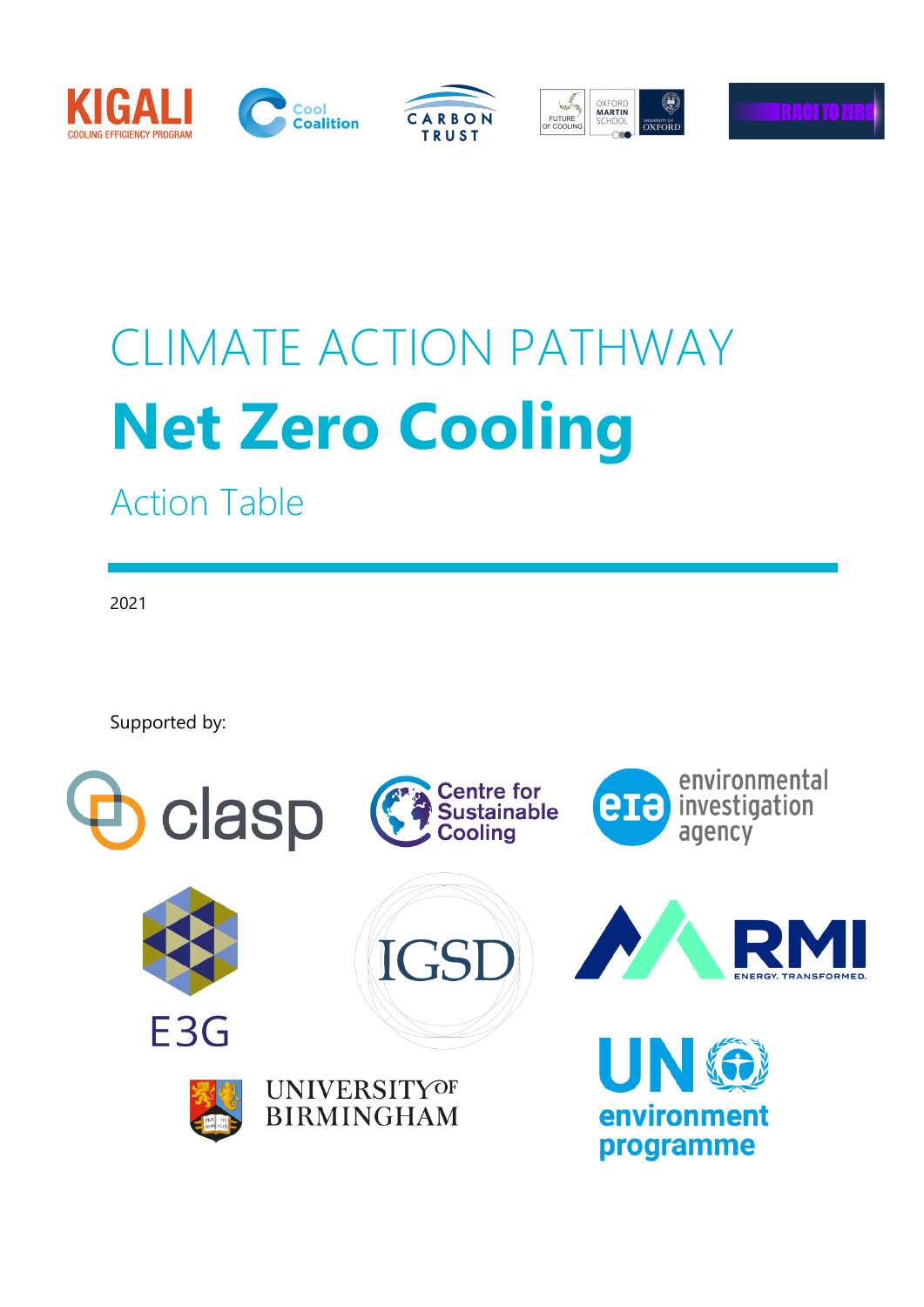

# CLIMATE ACTION PATHWAY **Net Zero Cooling**

Action Table

2021

Supported by:

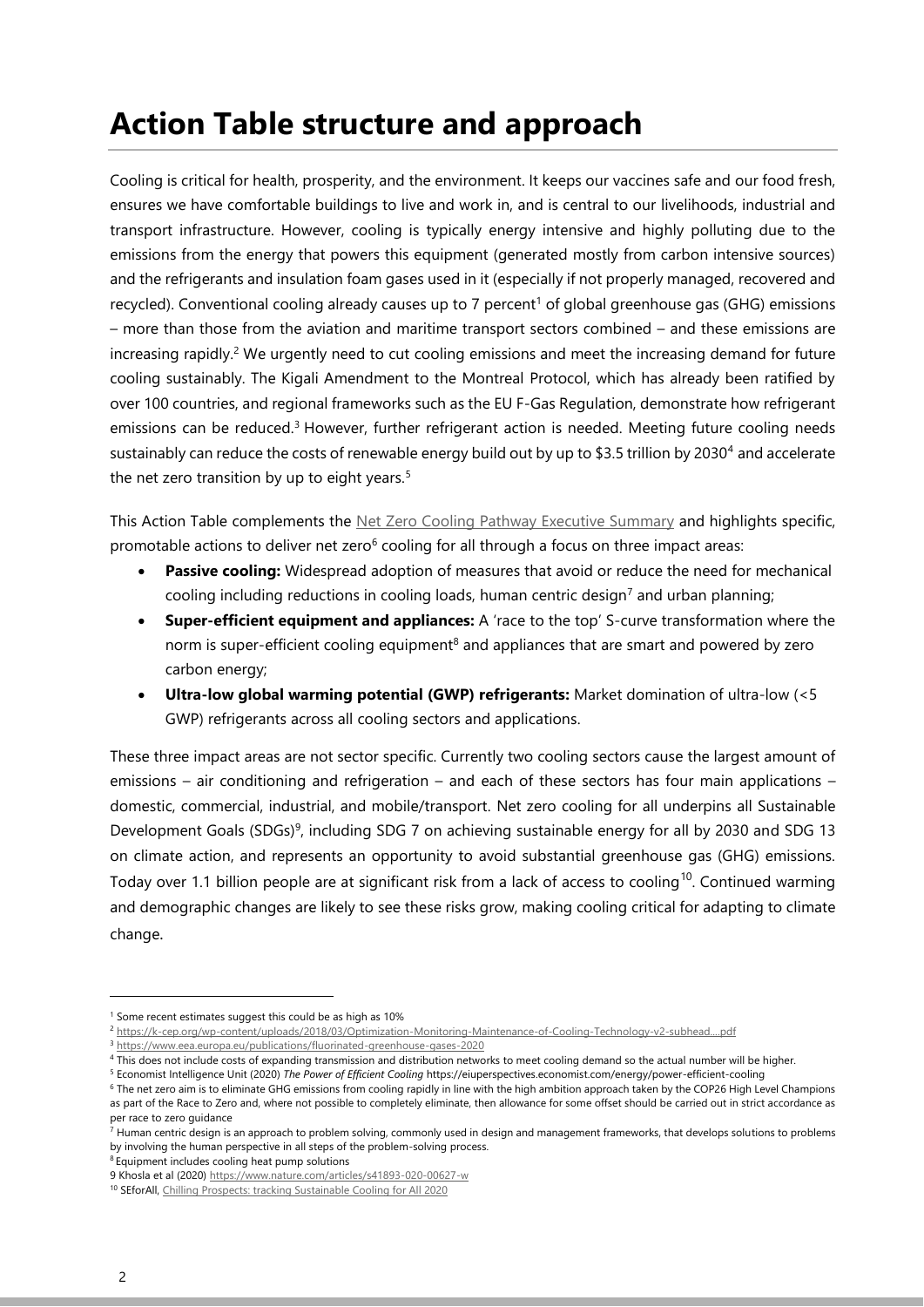### **Action Table structure and approach**

Cooling is critical for health, prosperity, and the environment. It keeps our vaccines safe and our food fresh, ensures we have comfortable buildings to live and work in, and is central to our livelihoods, industrial and transport infrastructure. However, cooling is typically energy intensive and highly polluting due to the emissions from the energy that powers this equipment (generated mostly from carbon intensive sources) and the refrigerants and insulation foam gases used in it (especially if not properly managed, recovered and recycled). Conventional cooling already causes up to 7 percent<sup>1</sup> of global greenhouse gas (GHG) emissions – more than those from the aviation and maritime transport sectors combined – and these emissions are increasing rapidly.<sup>2</sup> We urgently need to cut cooling emissions and meet the increasing demand for future cooling sustainably. The Kigali Amendment to the Montreal Protocol, which has already been ratified by over 100 countries, and regional frameworks such as the EU F-Gas Regulation, demonstrate how refrigerant emissions can be reduced.<sup>3</sup> However, further refrigerant action is needed. Meeting future cooling needs sustainably can reduce the costs of renewable energy build out by up to \$3.5 trillion by 2030<sup>4</sup> and accelerate the net zero transition by up to eight years.<sup>5</sup>

This Action Table complements the [Net Zero Cooling Pathway Executive Summary](https://racetozero.unfccc.int/cooling-pathway/) and highlights specific, promotable actions to deliver net zero<sup>6</sup> cooling for all through a focus on three impact areas:

- **Passive cooling:** Widespread adoption of measures that avoid or reduce the need for mechanical cooling including reductions in cooling loads, human centric design<sup>7</sup> and urban planning;
- **Super-efficient equipment and appliances:** A 'race to the top' S-curve transformation where the norm is super-efficient cooling equipment<sup>8</sup> and appliances that are smart and powered by zero carbon energy;
- **Ultra-low global warming potential (GWP) refrigerants:** Market domination of ultra-low (<5 GWP) refrigerants across all cooling sectors and applications.

These three impact areas are not sector specific. Currently two cooling sectors cause the largest amount of emissions – air conditioning and refrigeration – and each of these sectors has four main applications – domestic, commercial, industrial, and mobile/transport. Net zero cooling for all underpins all Sustainable Development Goals (SDGs)<sup>9</sup>, including SDG 7 on achieving sustainable energy for all by 2030 and SDG 13 on climate action, and represents an opportunity to avoid substantial greenhouse gas (GHG) emissions. Today over 1.1 billion people are at significant risk from a lack of access to cooling<sup>10</sup>. Continued warming and demographic changes are likely to see these risks grow, making cooling critical for adapting to climate change.

<sup>8</sup> Equipment includes cooling heat pump solutions

<sup>&</sup>lt;sup>1</sup> Some recent estimates suggest this could be as high as 10%

<sup>2</sup> <https://k-cep.org/wp-content/uploads/2018/03/Optimization-Monitoring-Maintenance-of-Cooling-Technology-v2-subhead....pdf>

<sup>3</sup> <https://www.eea.europa.eu/publications/fluorinated-greenhouse-gases-2020>

<sup>4</sup> This does not include costs of expanding transmission and distribution networks to meet cooling demand so the actual number will be higher.

<sup>5</sup> Economist Intelligence Unit (2020) *The Power of Efficient Cooling* https://eiuperspectives.economist.com/energy/power-efficient-cooling

<sup>6</sup> The net zero aim is to eliminate GHG emissions from cooling rapidly in line with the high ambition approach taken by the COP26 High Level Champions as part of the Race to Zero and, where not possible to completely eliminate, then allowance for some offset should be carried out in strict accordance as per race to zero guidance

<sup>&</sup>lt;sup>7</sup> Human centric design is an approach to problem solving, commonly used in design and management frameworks, that develops solutions to problems by involving the human perspective in all steps of the problem-solving process.

<sup>9</sup> Khosla et al (2020) https://www.nature.com/articles/s41893-020-00627-w

<sup>10</sup> SEforAll, [Chilling Prospects: tracking Sustainable Cooling for All 2020](https://www.seforall.org/chilling-prospects-2020)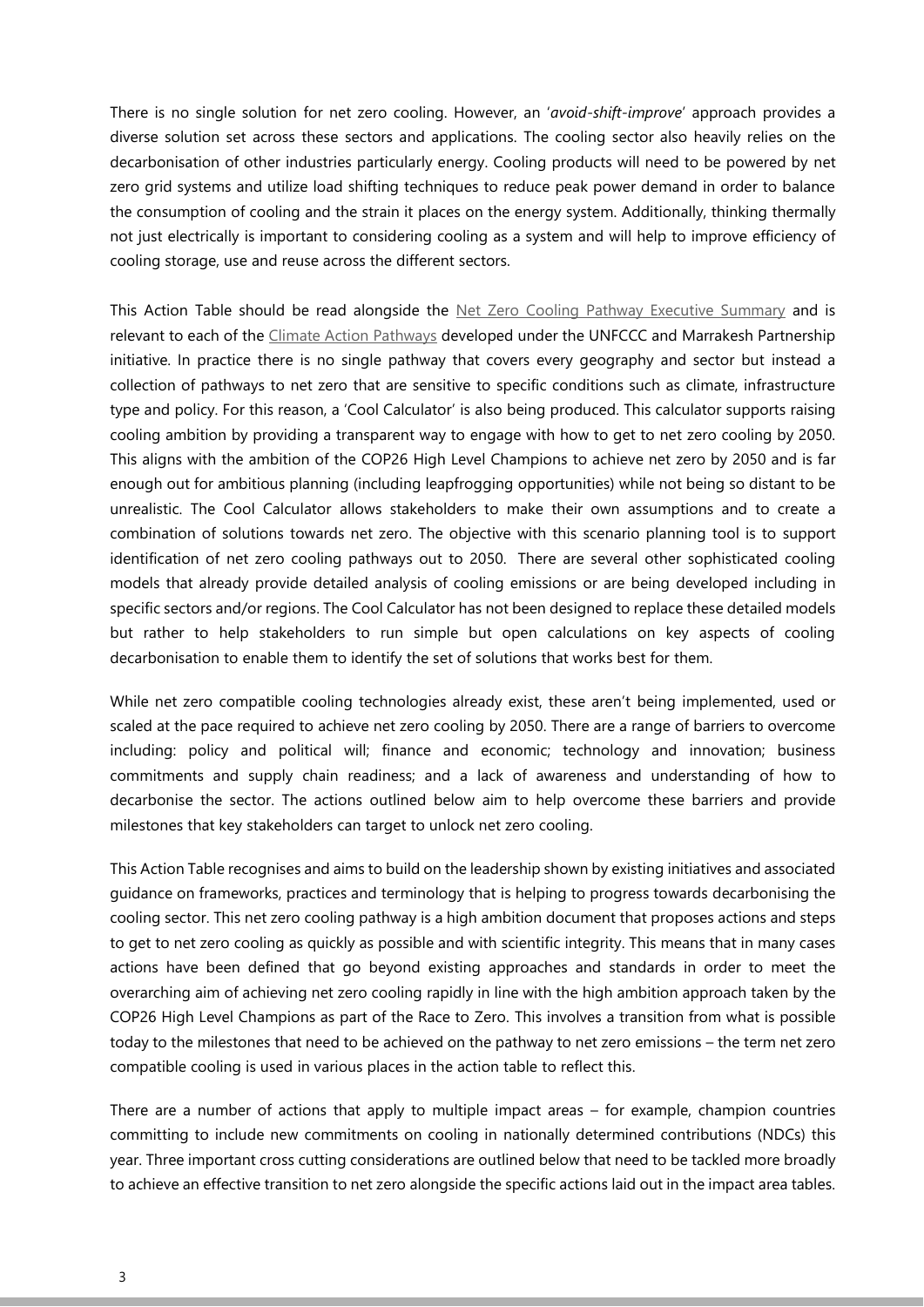There is no single solution for net zero cooling. However, an '*avoid-shift-improve*' approach provides a diverse solution set across these sectors and applications. The cooling sector also heavily relies on the decarbonisation of other industries particularly energy. Cooling products will need to be powered by net zero grid systems and utilize load shifting techniques to reduce peak power demand in order to balance the consumption of cooling and the strain it places on the energy system. Additionally, thinking thermally not just electrically is important to considering cooling as a system and will help to improve efficiency of cooling storage, use and reuse across the different sectors.

This Action Table should be read alongside the [Net Zero Cooling Pathway Executive Summary](https://racetozero.unfccc.int/cooling-pathway/) and is relevant to each of the [Climate Action Pathways](https://unfccc.int/climate-action/marrakech-partnership/reporting-and-tracking/climate_action_pathways) developed under the UNFCCC and Marrakesh Partnership initiative. In practice there is no single pathway that covers every geography and sector but instead a collection of pathways to net zero that are sensitive to specific conditions such as climate, infrastructure type and policy. For this reason, a 'Cool Calculator' is also being produced. This calculator supports raising cooling ambition by providing a transparent way to engage with how to get to net zero cooling by 2050. This aligns with the ambition of the COP26 High Level Champions to achieve net zero by 2050 and is far enough out for ambitious planning (including leapfrogging opportunities) while not being so distant to be unrealistic. The Cool Calculator allows stakeholders to make their own assumptions and to create a combination of solutions towards net zero. The objective with this scenario planning tool is to support identification of net zero cooling pathways out to 2050. There are several other sophisticated cooling models that already provide detailed analysis of cooling emissions or are being developed including in specific sectors and/or regions. The Cool Calculator has not been designed to replace these detailed models but rather to help stakeholders to run simple but open calculations on key aspects of cooling decarbonisation to enable them to identify the set of solutions that works best for them.

While net zero compatible cooling technologies already exist, these aren't being implemented, used or scaled at the pace required to achieve net zero cooling by 2050. There are a range of barriers to overcome including: policy and political will; finance and economic; technology and innovation; business commitments and supply chain readiness; and a lack of awareness and understanding of how to decarbonise the sector. The actions outlined below aim to help overcome these barriers and provide milestones that key stakeholders can target to unlock net zero cooling.

This Action Table recognises and aims to build on the leadership shown by existing initiatives and associated guidance on frameworks, practices and terminology that is helping to progress towards decarbonising the cooling sector. This net zero cooling pathway is a high ambition document that proposes actions and steps to get to net zero cooling as quickly as possible and with scientific integrity. This means that in many cases actions have been defined that go beyond existing approaches and standards in order to meet the overarching aim of achieving net zero cooling rapidly in line with the high ambition approach taken by the COP26 High Level Champions as part of the Race to Zero. This involves a transition from what is possible today to the milestones that need to be achieved on the pathway to net zero emissions – the term net zero compatible cooling is used in various places in the action table to reflect this.

There are a number of actions that apply to multiple impact areas – for example, champion countries committing to include new commitments on cooling in nationally determined contributions (NDCs) this year. Three important cross cutting considerations are outlined below that need to be tackled more broadly to achieve an effective transition to net zero alongside the specific actions laid out in the impact area tables.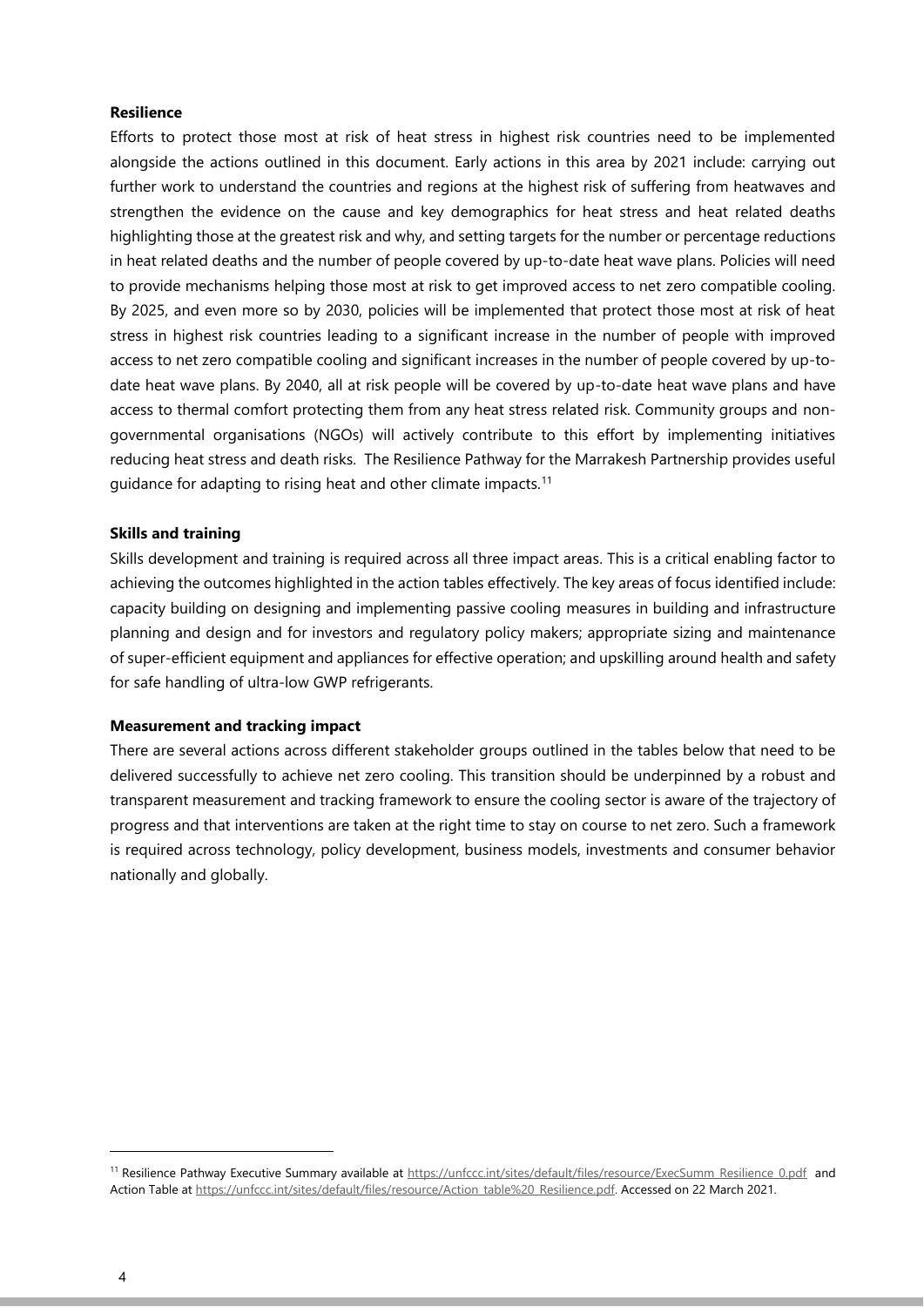#### **Resilience**

Efforts to protect those most at risk of heat stress in highest risk countries need to be implemented alongside the actions outlined in this document. Early actions in this area by 2021 include: carrying out further work to understand the countries and regions at the highest risk of suffering from heatwaves and strengthen the evidence on the cause and key demographics for heat stress and heat related deaths highlighting those at the greatest risk and why, and setting targets for the number or percentage reductions in heat related deaths and the number of people covered by up-to-date heat wave plans. Policies will need to provide mechanisms helping those most at risk to get improved access to net zero compatible cooling. By 2025, and even more so by 2030, policies will be implemented that protect those most at risk of heat stress in highest risk countries leading to a significant increase in the number of people with improved access to net zero compatible cooling and significant increases in the number of people covered by up-todate heat wave plans. By 2040, all at risk people will be covered by up-to-date heat wave plans and have access to thermal comfort protecting them from any heat stress related risk. Community groups and nongovernmental organisations (NGOs) will actively contribute to this effort by implementing initiatives reducing heat stress and death risks. The Resilience Pathway for the Marrakesh Partnership provides useful guidance for adapting to rising heat and other climate impacts.<sup>11</sup>

#### **Skills and training**

Skills development and training is required across all three impact areas. This is a critical enabling factor to achieving the outcomes highlighted in the action tables effectively. The key areas of focus identified include: capacity building on designing and implementing passive cooling measures in building and infrastructure planning and design and for investors and regulatory policy makers; appropriate sizing and maintenance of super-efficient equipment and appliances for effective operation; and upskilling around health and safety for safe handling of ultra-low GWP refrigerants.

#### **Measurement and tracking impact**

There are several actions across different stakeholder groups outlined in the tables below that need to be delivered successfully to achieve net zero cooling. This transition should be underpinned by a robust and transparent measurement and tracking framework to ensure the cooling sector is aware of the trajectory of progress and that interventions are taken at the right time to stay on course to net zero. Such a framework is required across technology, policy development, business models, investments and consumer behavior nationally and globally.

<sup>&</sup>lt;sup>11</sup> Resilience Pathway Executive Summary available at [https://unfccc.int/sites/default/files/resource/ExecSumm\\_Resilience\\_0.pdf](https://unfccc.int/sites/default/files/resource/ExecSumm_Resilience_0.pdf) and Action Table at [https://unfccc.int/sites/default/files/resource/Action\\_table%20\\_Resilience.pdf.](https://unfccc.int/sites/default/files/resource/Action_table%20_Resilience.pdf) Accessed on 22 March 2021.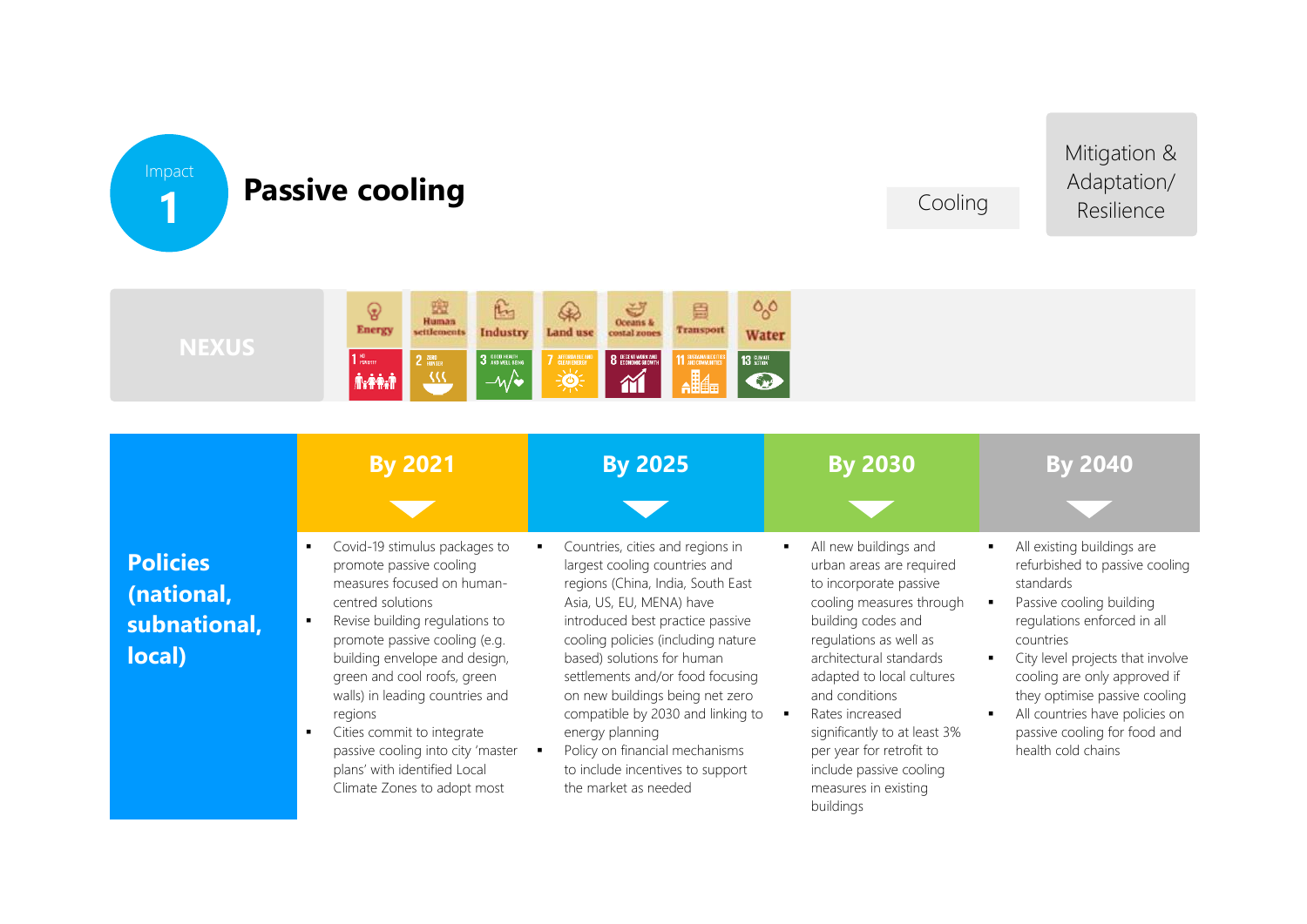

## **Passive cooling**

Cooling

Mitigation & Adaptation/ Resilience



|                                                         | <b>By 2021</b>                                                                                                                                                                                                                                                                                                                                                                                                                 | <b>By 2025</b>                                                                                                                                                                                                                                                                                                                                                                                                                                                          | <b>By 2030</b>                                                                                                                                                                                                                                                                                                                                                                   | <b>By 2040</b>                                                                                                                                                                                                                                                                                                                                 |
|---------------------------------------------------------|--------------------------------------------------------------------------------------------------------------------------------------------------------------------------------------------------------------------------------------------------------------------------------------------------------------------------------------------------------------------------------------------------------------------------------|-------------------------------------------------------------------------------------------------------------------------------------------------------------------------------------------------------------------------------------------------------------------------------------------------------------------------------------------------------------------------------------------------------------------------------------------------------------------------|----------------------------------------------------------------------------------------------------------------------------------------------------------------------------------------------------------------------------------------------------------------------------------------------------------------------------------------------------------------------------------|------------------------------------------------------------------------------------------------------------------------------------------------------------------------------------------------------------------------------------------------------------------------------------------------------------------------------------------------|
| <b>Policies</b><br>(national,<br>subnational,<br>local) | Covid-19 stimulus packages to<br>promote passive cooling<br>measures focused on human-<br>centred solutions<br>Revise building regulations to<br>promote passive cooling (e.g.<br>building envelope and design,<br>green and cool roofs, green<br>walls) in leading countries and<br>regions<br>Cities commit to integrate<br>passive cooling into city 'master<br>plans' with identified Local<br>Climate Zones to adopt most | Countries, cities and regions in<br>largest cooling countries and<br>regions (China, India, South East<br>Asia, US, EU, MENA) have<br>introduced best practice passive<br>cooling policies (including nature<br>based) solutions for human<br>settlements and/or food focusing<br>on new buildings being net zero<br>compatible by 2030 and linking to<br>energy planning<br>Policy on financial mechanisms<br>to include incentives to support<br>the market as needed | All new buildings and<br>urban areas are required<br>to incorporate passive<br>cooling measures through<br>building codes and<br>regulations as well as<br>architectural standards<br>adapted to local cultures<br>and conditions<br>Rates increased<br>significantly to at least 3%<br>per year for retrofit to<br>include passive cooling<br>measures in existing<br>buildings | All existing buildings are<br>refurbished to passive cooling<br>standards<br>Passive cooling building<br>regulations enforced in all<br>countries<br>City level projects that involve<br>cooling are only approved if<br>they optimise passive cooling<br>All countries have policies on<br>passive cooling for food and<br>health cold chains |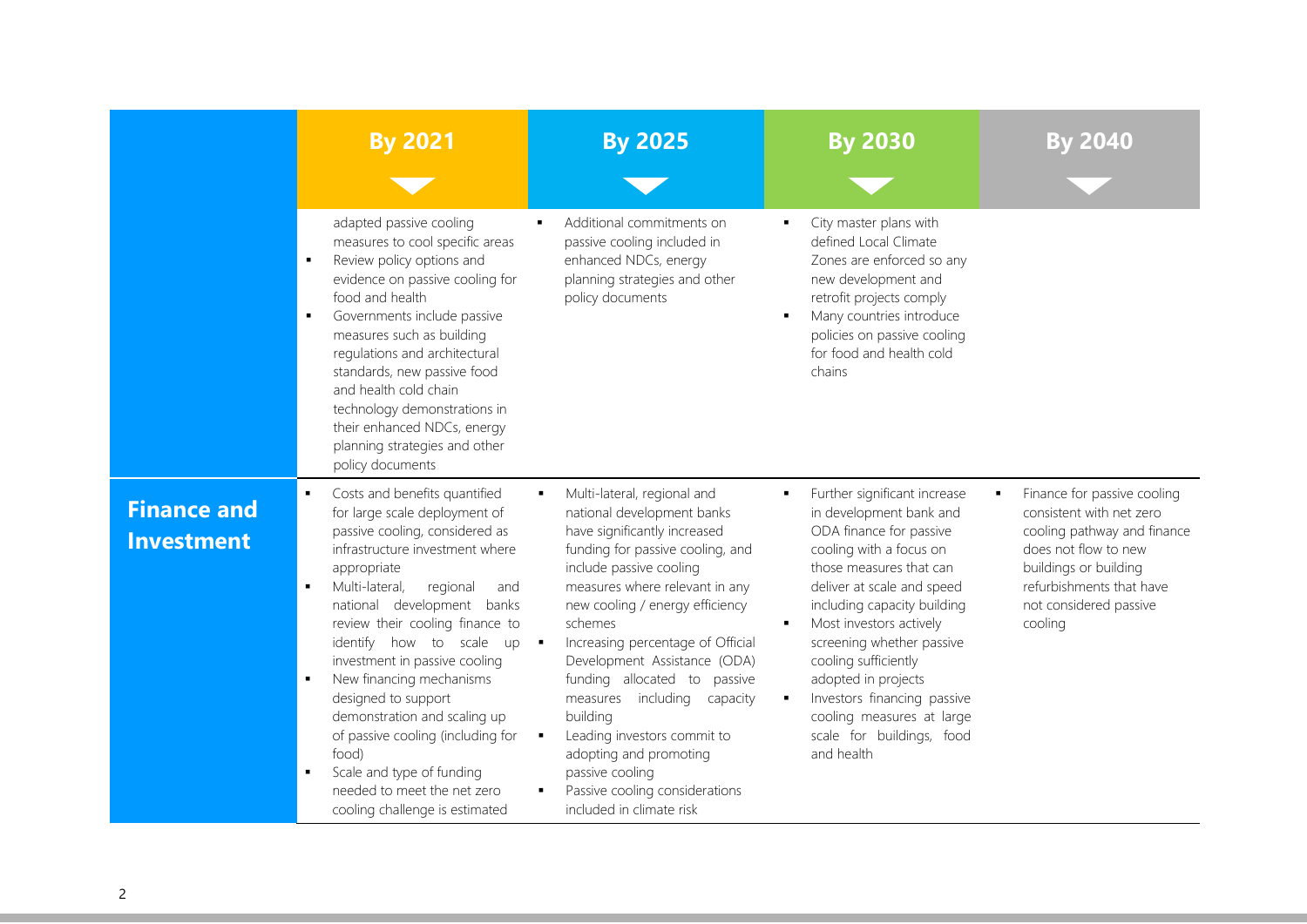|                                         | <b>By 2021</b>                                                                                                                                                                                                                                                                                                                                                                                                                                                                                                                                                         | <b>By 2025</b>                                                                                                                                                                                                                                                                                                                                                                                                                                                                                                                                               | <b>By 2030</b>                                                                                                                                                                                                                                                                                                                                                                                                      | Bv 2040                                                                                                                                                                                                       |
|-----------------------------------------|------------------------------------------------------------------------------------------------------------------------------------------------------------------------------------------------------------------------------------------------------------------------------------------------------------------------------------------------------------------------------------------------------------------------------------------------------------------------------------------------------------------------------------------------------------------------|--------------------------------------------------------------------------------------------------------------------------------------------------------------------------------------------------------------------------------------------------------------------------------------------------------------------------------------------------------------------------------------------------------------------------------------------------------------------------------------------------------------------------------------------------------------|---------------------------------------------------------------------------------------------------------------------------------------------------------------------------------------------------------------------------------------------------------------------------------------------------------------------------------------------------------------------------------------------------------------------|---------------------------------------------------------------------------------------------------------------------------------------------------------------------------------------------------------------|
|                                         | adapted passive cooling<br>measures to cool specific areas<br>Review policy options and<br>٠<br>evidence on passive cooling for<br>food and health<br>Governments include passive<br>٠<br>measures such as building<br>regulations and architectural<br>standards, new passive food<br>and health cold chain<br>technology demonstrations in<br>their enhanced NDCs, energy<br>planning strategies and other<br>policy documents                                                                                                                                       | Additional commitments on<br>passive cooling included in<br>enhanced NDCs, energy<br>planning strategies and other<br>policy documents                                                                                                                                                                                                                                                                                                                                                                                                                       | City master plans with<br>defined Local Climate<br>Zones are enforced so any<br>new development and<br>retrofit projects comply<br>Many countries introduce<br>policies on passive cooling<br>for food and health cold<br>chains                                                                                                                                                                                    |                                                                                                                                                                                                               |
| <b>Finance and</b><br><b>Investment</b> | Costs and benefits quantified<br>for large scale deployment of<br>passive cooling, considered as<br>infrastructure investment where<br>appropriate<br>Multi-lateral,<br>regional<br>$\blacksquare$<br>and<br>national development banks<br>review their cooling finance to<br>identify how to scale up<br>investment in passive cooling<br>New financing mechanisms<br>designed to support<br>demonstration and scaling up<br>of passive cooling (including for<br>food)<br>Scale and type of funding<br>needed to meet the net zero<br>cooling challenge is estimated | Multi-lateral, regional and<br>$\blacksquare$<br>national development banks<br>have significantly increased<br>funding for passive cooling, and<br>include passive cooling<br>measures where relevant in any<br>new cooling / energy efficiency<br>schemes<br>Increasing percentage of Official<br>Development Assistance (ODA)<br>funding allocated to passive<br>measures including<br>capacity<br>building<br>Leading investors commit to<br>٠<br>adopting and promoting<br>passive cooling<br>Passive cooling considerations<br>included in climate risk | Further significant increase<br>in development bank and<br>ODA finance for passive<br>cooling with a focus on<br>those measures that can<br>deliver at scale and speed<br>including capacity building<br>Most investors actively<br>screening whether passive<br>cooling sufficiently<br>adopted in projects<br>Investors financing passive<br>cooling measures at large<br>scale for buildings, food<br>and health | Finance for passive cooling<br>٠<br>consistent with net zero<br>cooling pathway and finance<br>does not flow to new<br>buildings or building<br>refurbishments that have<br>not considered passive<br>cooling |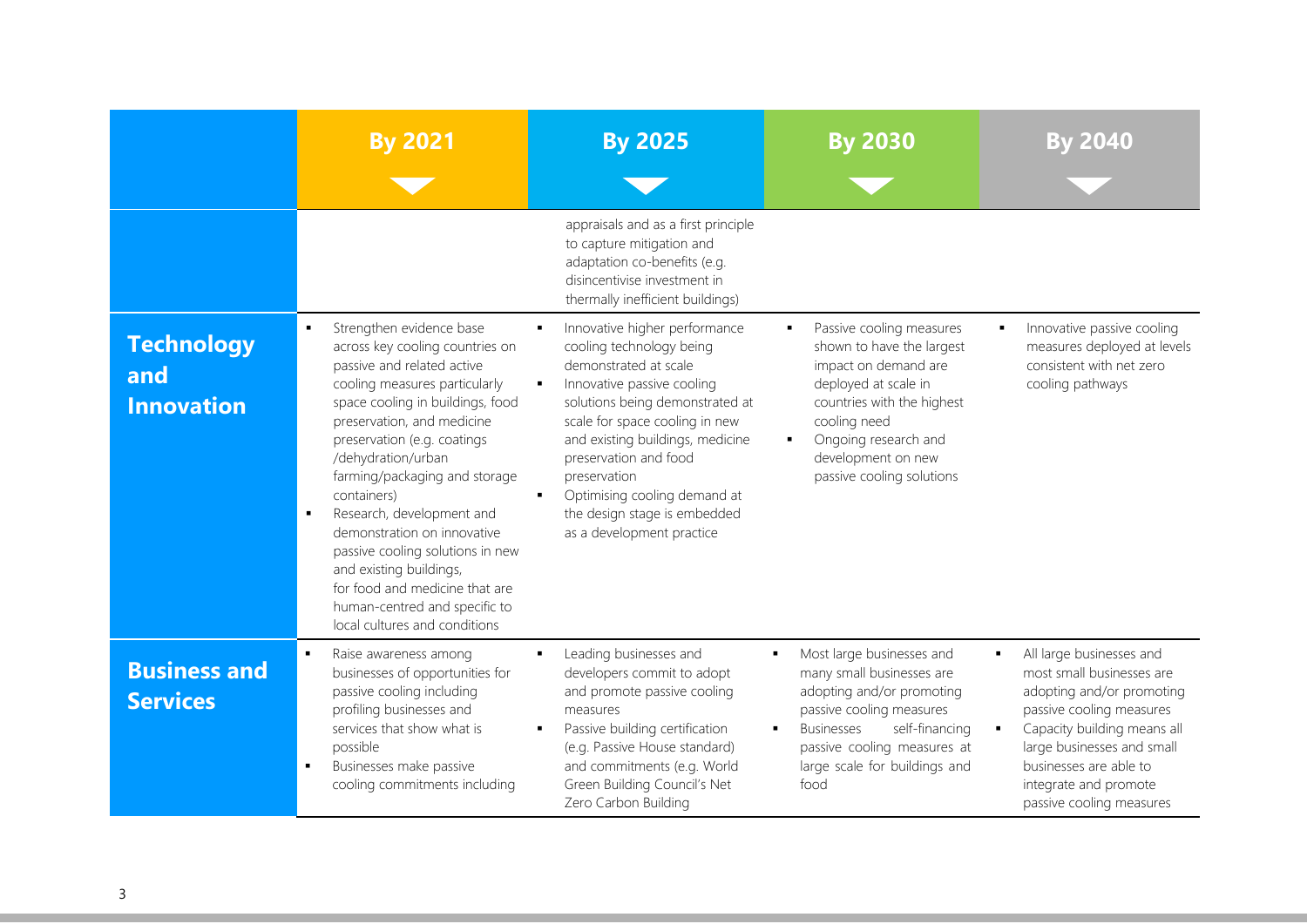|                                               | <b>By 2021</b>                                                                                                                                                                                                                                                                                                                                                                                                                                                                                                                                           | <b>By 2025</b>                                                                                                                                                                                                                                                                                                                                                       | <b>By 2030</b>                                                                                                                                                                                                                                        | By 2040                                                                                                                                                                                                                                                         |
|-----------------------------------------------|----------------------------------------------------------------------------------------------------------------------------------------------------------------------------------------------------------------------------------------------------------------------------------------------------------------------------------------------------------------------------------------------------------------------------------------------------------------------------------------------------------------------------------------------------------|----------------------------------------------------------------------------------------------------------------------------------------------------------------------------------------------------------------------------------------------------------------------------------------------------------------------------------------------------------------------|-------------------------------------------------------------------------------------------------------------------------------------------------------------------------------------------------------------------------------------------------------|-----------------------------------------------------------------------------------------------------------------------------------------------------------------------------------------------------------------------------------------------------------------|
|                                               |                                                                                                                                                                                                                                                                                                                                                                                                                                                                                                                                                          | appraisals and as a first principle<br>to capture mitigation and<br>adaptation co-benefits (e.g.<br>disincentivise investment in<br>thermally inefficient buildings)                                                                                                                                                                                                 |                                                                                                                                                                                                                                                       |                                                                                                                                                                                                                                                                 |
| <b>Technology</b><br>and<br><b>Innovation</b> | Strengthen evidence base<br>л.<br>across key cooling countries on<br>passive and related active<br>cooling measures particularly<br>space cooling in buildings, food<br>preservation, and medicine<br>preservation (e.g. coatings<br>/dehydration/urban<br>farming/packaging and storage<br>containers)<br>Research, development and<br>$\blacksquare$<br>demonstration on innovative<br>passive cooling solutions in new<br>and existing buildings,<br>for food and medicine that are<br>human-centred and specific to<br>local cultures and conditions | Innovative higher performance<br>٠<br>cooling technology being<br>demonstrated at scale<br>Innovative passive cooling<br>solutions being demonstrated at<br>scale for space cooling in new<br>and existing buildings, medicine<br>preservation and food<br>preservation<br>Optimising cooling demand at<br>the design stage is embedded<br>as a development practice | Passive cooling measures<br>$\blacksquare$<br>shown to have the largest<br>impact on demand are<br>deployed at scale in<br>countries with the highest<br>cooling need<br>Ongoing research and<br>٠<br>development on new<br>passive cooling solutions | Innovative passive cooling<br>measures deployed at levels<br>consistent with net zero<br>cooling pathways                                                                                                                                                       |
| <b>Business and</b><br><b>Services</b>        | Raise awareness among<br>businesses of opportunities for<br>passive cooling including<br>profiling businesses and<br>services that show what is<br>possible<br>Businesses make passive<br>٠<br>cooling commitments including                                                                                                                                                                                                                                                                                                                             | Leading businesses and<br>٠<br>developers commit to adopt<br>and promote passive cooling<br>measures<br>Passive building certification<br>٠<br>(e.g. Passive House standard)<br>and commitments (e.g. World<br>Green Building Council's Net<br>Zero Carbon Building                                                                                                  | Most large businesses and<br>٠<br>many small businesses are<br>adopting and/or promoting<br>passive cooling measures<br>self-financing<br><b>Businesses</b><br>passive cooling measures at<br>large scale for buildings and<br>food                   | All large businesses and<br>٠<br>most small businesses are<br>adopting and/or promoting<br>passive cooling measures<br>Capacity building means all<br>large businesses and small<br>businesses are able to<br>integrate and promote<br>passive cooling measures |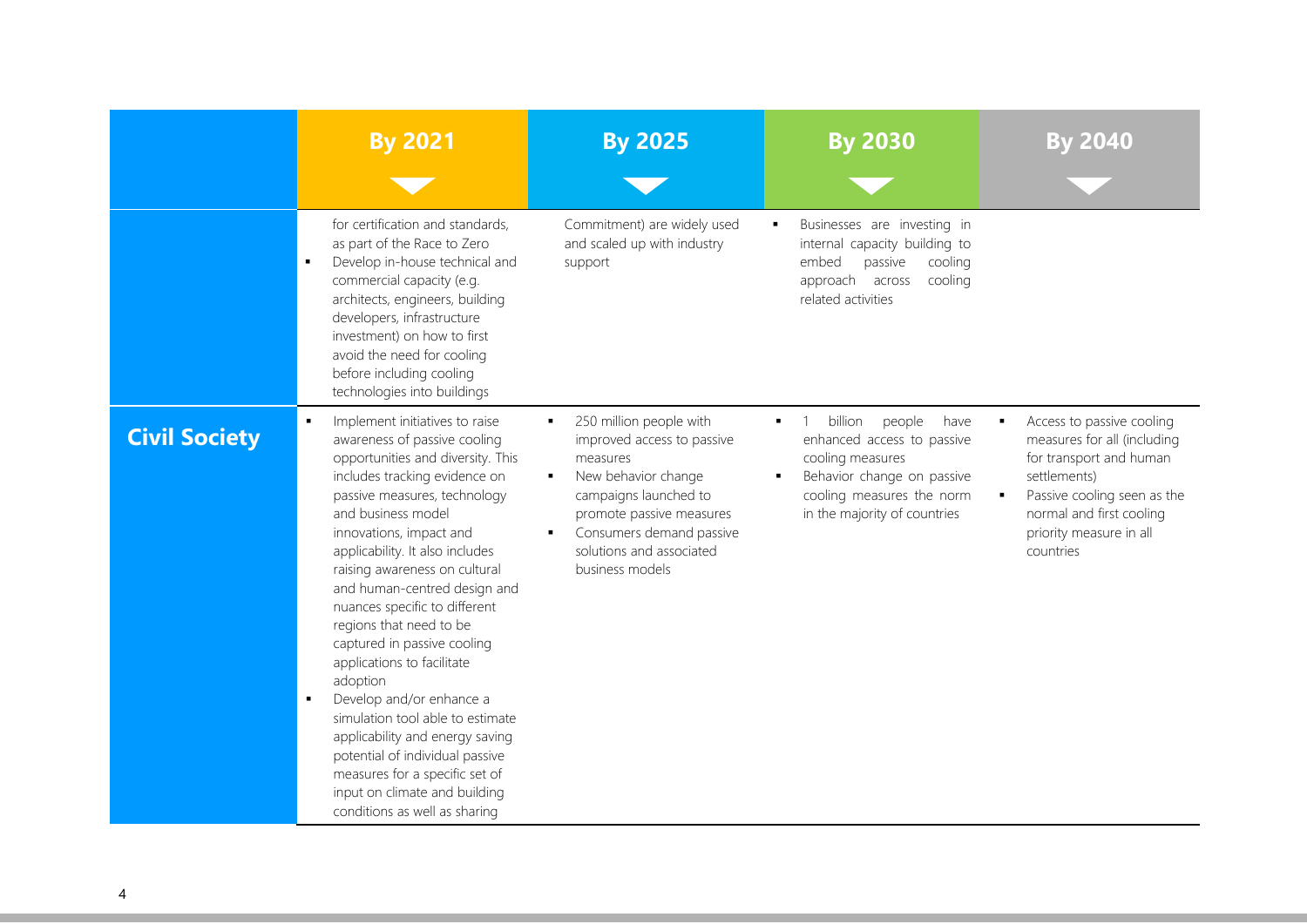|                      | <b>By 2021</b>                                                                                                                                                                                                                                                                                                                                                                                                                                                                                                                                                                                                                                                                                                | <b>By 2025</b>                                                                                                                                                                                                                                               | <b>By 2030</b>                                                                                                                                                         | <b>By 2040</b>                                                                                                                                                                                         |
|----------------------|---------------------------------------------------------------------------------------------------------------------------------------------------------------------------------------------------------------------------------------------------------------------------------------------------------------------------------------------------------------------------------------------------------------------------------------------------------------------------------------------------------------------------------------------------------------------------------------------------------------------------------------------------------------------------------------------------------------|--------------------------------------------------------------------------------------------------------------------------------------------------------------------------------------------------------------------------------------------------------------|------------------------------------------------------------------------------------------------------------------------------------------------------------------------|--------------------------------------------------------------------------------------------------------------------------------------------------------------------------------------------------------|
|                      | for certification and standards,<br>as part of the Race to Zero<br>Develop in-house technical and<br>$\blacksquare$<br>commercial capacity (e.g.<br>architects, engineers, building<br>developers, infrastructure<br>investment) on how to first<br>avoid the need for cooling<br>before including cooling<br>technologies into buildings                                                                                                                                                                                                                                                                                                                                                                     | Commitment) are widely used<br>and scaled up with industry<br>support                                                                                                                                                                                        | Businesses are investing in<br>$\blacksquare$<br>internal capacity building to<br>embed<br>passive<br>cooling<br>approach across<br>cooling<br>related activities      |                                                                                                                                                                                                        |
| <b>Civil Society</b> | Implement initiatives to raise<br>awareness of passive cooling<br>opportunities and diversity. This<br>includes tracking evidence on<br>passive measures, technology<br>and business model<br>innovations, impact and<br>applicability. It also includes<br>raising awareness on cultural<br>and human-centred design and<br>nuances specific to different<br>regions that need to be<br>captured in passive cooling<br>applications to facilitate<br>adoption<br>Develop and/or enhance a<br>٠<br>simulation tool able to estimate<br>applicability and energy saving<br>potential of individual passive<br>measures for a specific set of<br>input on climate and building<br>conditions as well as sharing | 250 million people with<br>$\blacksquare$<br>improved access to passive<br>measures<br>New behavior change<br>$\blacksquare$<br>campaigns launched to<br>promote passive measures<br>Consumers demand passive<br>solutions and associated<br>business models | billion<br>people<br>have<br>enhanced access to passive<br>cooling measures<br>Behavior change on passive<br>cooling measures the norm<br>in the majority of countries | Access to passive cooling<br>measures for all (including<br>for transport and human<br>settlements)<br>Passive cooling seen as the<br>normal and first cooling<br>priority measure in all<br>countries |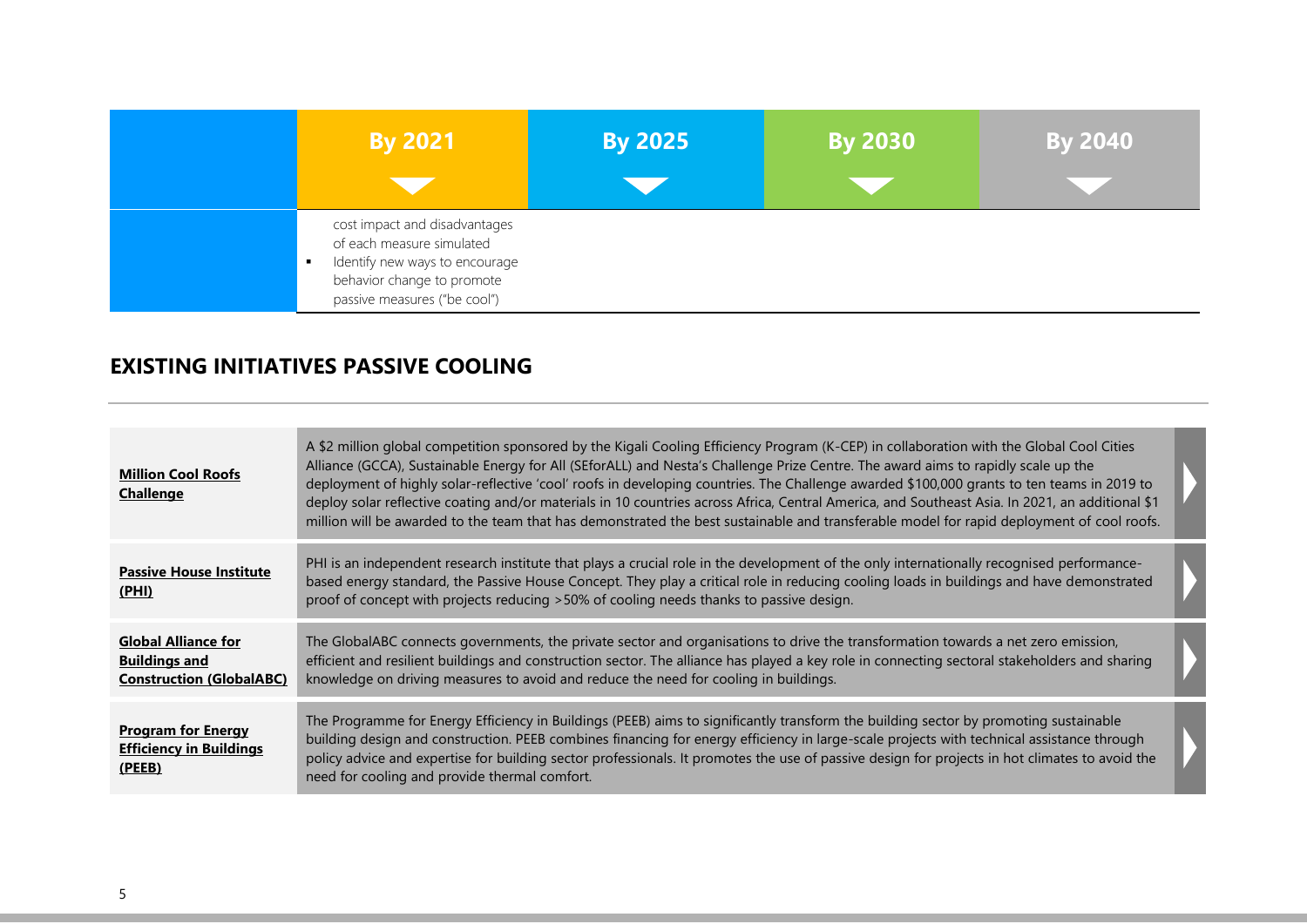| <b>By 2021</b>                                                                                                                                             | <b>By 2025</b> | <b>By 2030</b> | <b>By 2040</b> |
|------------------------------------------------------------------------------------------------------------------------------------------------------------|----------------|----------------|----------------|
| cost impact and disadvantages<br>of each measure simulated<br>Identify new ways to encourage<br>behavior change to promote<br>passive measures ("be cool") |                |                |                |

#### **EXISTING INITIATIVES PASSIVE COOLING**

| <b>Million Cool Roofs</b><br><b>Challenge</b>                                         | A \$2 million global competition sponsored by the Kigali Cooling Efficiency Program (K-CEP) in collaboration with the Global Cool Cities<br>Alliance (GCCA), Sustainable Energy for All (SEforALL) and Nesta's Challenge Prize Centre. The award aims to rapidly scale up the<br>deployment of highly solar-reflective 'cool' roofs in developing countries. The Challenge awarded \$100,000 grants to ten teams in 2019 to<br>deploy solar reflective coating and/or materials in 10 countries across Africa, Central America, and Southeast Asia. In 2021, an additional \$1<br>million will be awarded to the team that has demonstrated the best sustainable and transferable model for rapid deployment of cool roofs. |  |
|---------------------------------------------------------------------------------------|-----------------------------------------------------------------------------------------------------------------------------------------------------------------------------------------------------------------------------------------------------------------------------------------------------------------------------------------------------------------------------------------------------------------------------------------------------------------------------------------------------------------------------------------------------------------------------------------------------------------------------------------------------------------------------------------------------------------------------|--|
| <b>Passive House Institute</b><br>(PHI)                                               | PHI is an independent research institute that plays a crucial role in the development of the only internationally recognised performance-<br>based energy standard, the Passive House Concept. They play a critical role in reducing cooling loads in buildings and have demonstrated<br>proof of concept with projects reducing >50% of cooling needs thanks to passive design.                                                                                                                                                                                                                                                                                                                                            |  |
| <b>Global Alliance for</b><br><b>Buildings and</b><br><b>Construction (GlobalABC)</b> | The GlobalABC connects governments, the private sector and organisations to drive the transformation towards a net zero emission,<br>efficient and resilient buildings and construction sector. The alliance has played a key role in connecting sectoral stakeholders and sharing<br>knowledge on driving measures to avoid and reduce the need for cooling in buildings.                                                                                                                                                                                                                                                                                                                                                  |  |
| <b>Program for Energy</b><br><b>Efficiency in Buildings</b><br>(PEEB)                 | The Programme for Energy Efficiency in Buildings (PEEB) aims to significantly transform the building sector by promoting sustainable<br>building design and construction. PEEB combines financing for energy efficiency in large-scale projects with technical assistance through<br>policy advice and expertise for building sector professionals. It promotes the use of passive design for projects in hot climates to avoid the<br>need for cooling and provide thermal comfort.                                                                                                                                                                                                                                        |  |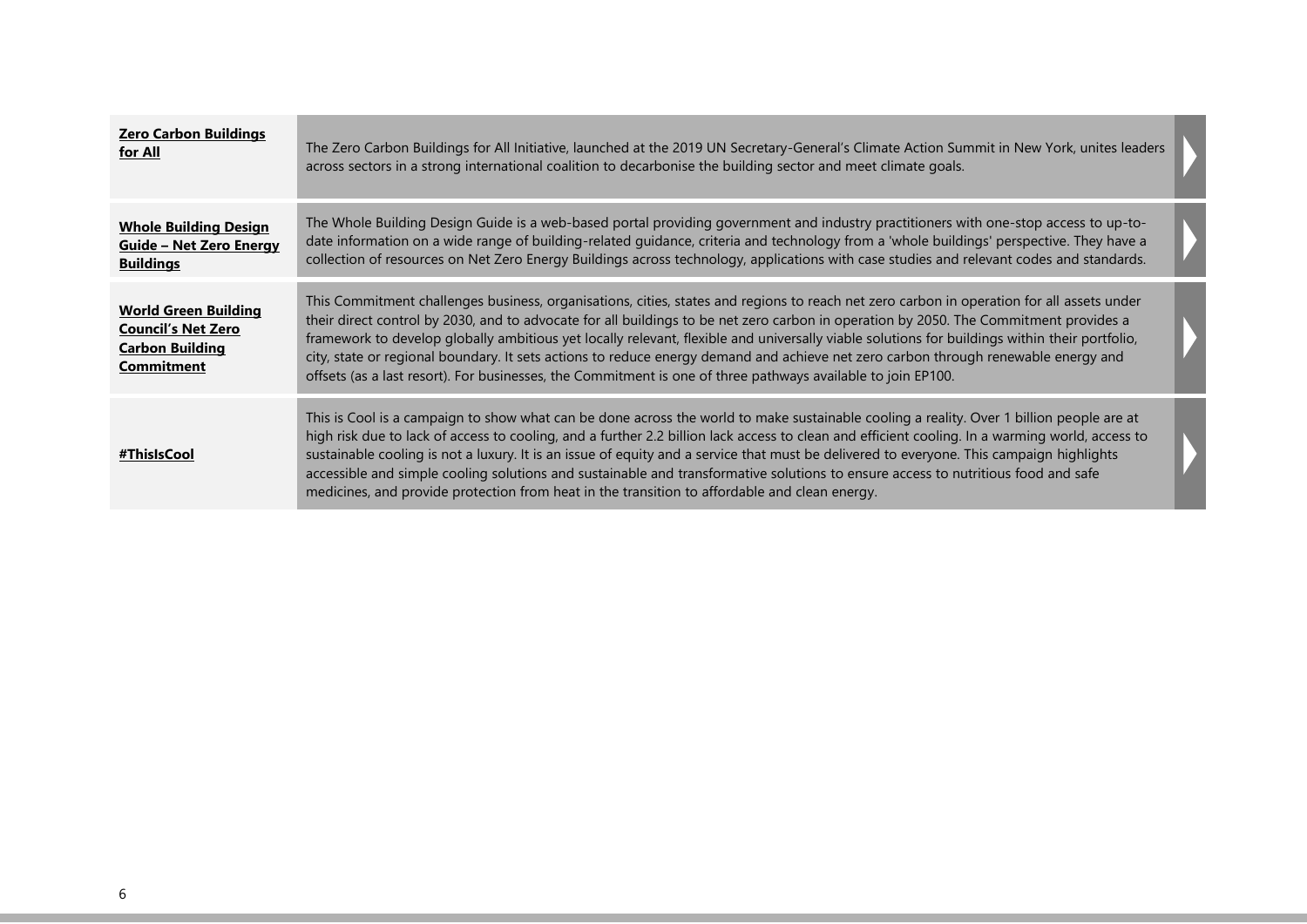| <b>Zero Carbon Buildings</b><br>for All                                                                 | The Zero Carbon Buildings for All Initiative, launched at the 2019 UN Secretary-General's Climate Action Summit in New York, unites leaders<br>across sectors in a strong international coalition to decarbonise the building sector and meet climate goals.                                                                                                                                                                                                                                                                                                                                                                                                                              |  |
|---------------------------------------------------------------------------------------------------------|-------------------------------------------------------------------------------------------------------------------------------------------------------------------------------------------------------------------------------------------------------------------------------------------------------------------------------------------------------------------------------------------------------------------------------------------------------------------------------------------------------------------------------------------------------------------------------------------------------------------------------------------------------------------------------------------|--|
| <b>Whole Building Design</b><br><b>Guide - Net Zero Energy</b><br><b>Buildings</b>                      | The Whole Building Design Guide is a web-based portal providing government and industry practitioners with one-stop access to up-to-<br>date information on a wide range of building-related quidance, criteria and technology from a 'whole buildings' perspective. They have a<br>collection of resources on Net Zero Energy Buildings across technology, applications with case studies and relevant codes and standards.                                                                                                                                                                                                                                                              |  |
| <b>World Green Building</b><br><b>Council's Net Zero</b><br><b>Carbon Building</b><br><b>Commitment</b> | This Commitment challenges business, organisations, cities, states and regions to reach net zero carbon in operation for all assets under<br>their direct control by 2030, and to advocate for all buildings to be net zero carbon in operation by 2050. The Commitment provides a<br>framework to develop globally ambitious yet locally relevant, flexible and universally viable solutions for buildings within their portfolio,<br>city, state or regional boundary. It sets actions to reduce energy demand and achieve net zero carbon through renewable energy and<br>offsets (as a last resort). For businesses, the Commitment is one of three pathways available to join EP100. |  |
| #ThisIsCool#                                                                                            | This is Cool is a campaign to show what can be done across the world to make sustainable cooling a reality. Over 1 billion people are at<br>high risk due to lack of access to cooling, and a further 2.2 billion lack access to clean and efficient cooling. In a warming world, access to<br>sustainable cooling is not a luxury. It is an issue of equity and a service that must be delivered to everyone. This campaign highlights<br>accessible and simple cooling solutions and sustainable and transformative solutions to ensure access to nutritious food and safe<br>medicines, and provide protection from heat in the transition to affordable and clean energy.             |  |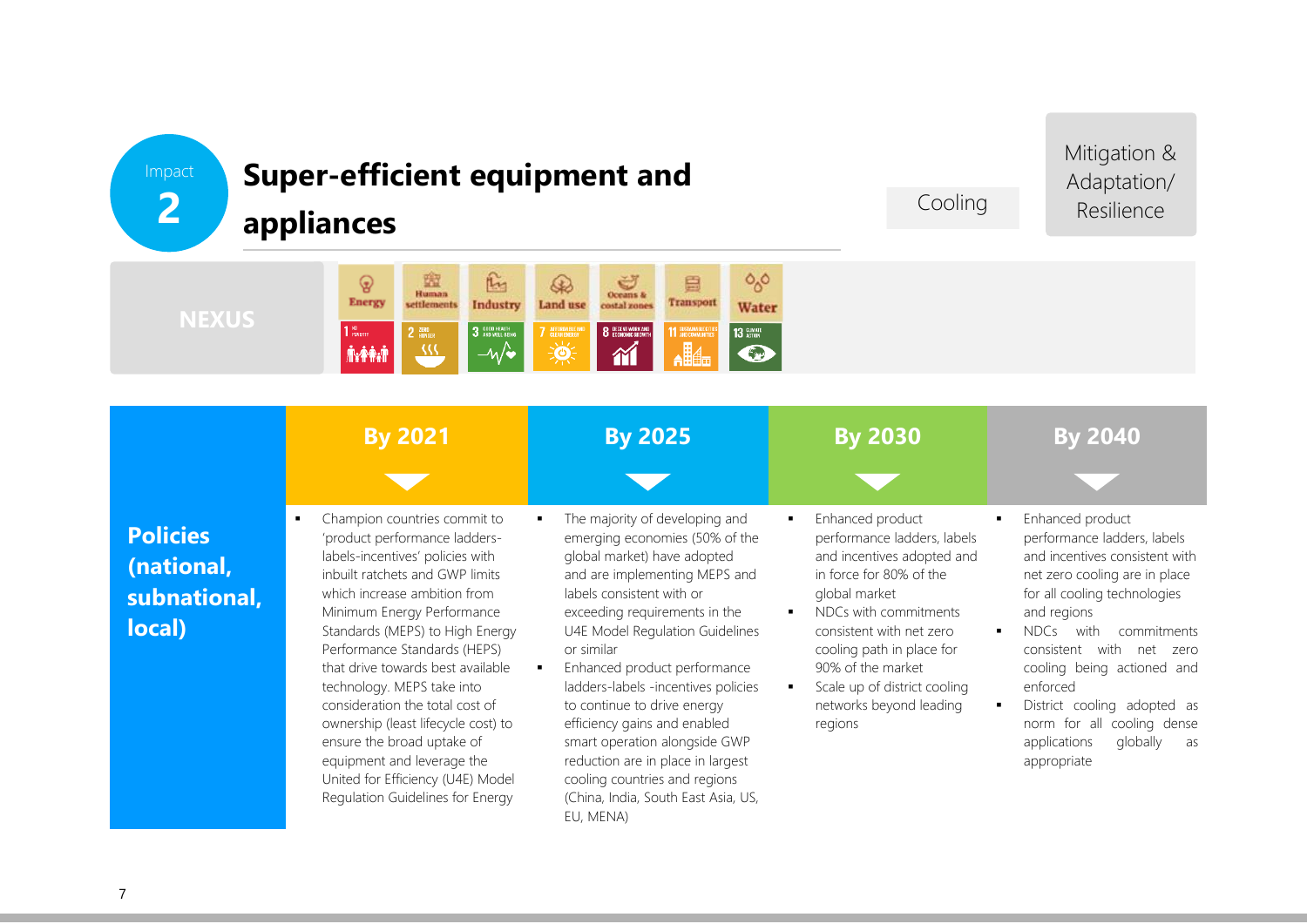# Impact **2**

# **Super-efficient equipment and**

### Cooling

Mitigation & Adaptation/ Resilience



|                                                         | <b>By 2021</b>                                                                                                                                                                                                                                                                                                                                                                                                                                                                                                                                               | <b>By 2025</b>                                                                                                                                                                                                                                                                                                                                                                                                                                                                                                                                   | <b>By 2030</b>                                                                                                                                                                                                                                                                                                     | <b>By 2040</b>                                                                                                                                                                                                                                                                                                                                                                                                                                   |
|---------------------------------------------------------|--------------------------------------------------------------------------------------------------------------------------------------------------------------------------------------------------------------------------------------------------------------------------------------------------------------------------------------------------------------------------------------------------------------------------------------------------------------------------------------------------------------------------------------------------------------|--------------------------------------------------------------------------------------------------------------------------------------------------------------------------------------------------------------------------------------------------------------------------------------------------------------------------------------------------------------------------------------------------------------------------------------------------------------------------------------------------------------------------------------------------|--------------------------------------------------------------------------------------------------------------------------------------------------------------------------------------------------------------------------------------------------------------------------------------------------------------------|--------------------------------------------------------------------------------------------------------------------------------------------------------------------------------------------------------------------------------------------------------------------------------------------------------------------------------------------------------------------------------------------------------------------------------------------------|
| <b>Policies</b><br>(national,<br>subnational,<br>local) | Champion countries commit to<br>٠<br>'product performance ladders-<br>labels-incentives' policies with<br>inbuilt ratchets and GWP limits<br>which increase ambition from<br>Minimum Energy Performance<br>Standards (MEPS) to High Energy<br>Performance Standards (HEPS)<br>that drive towards best available<br>technology. MEPS take into<br>consideration the total cost of<br>ownership (least lifecycle cost) to<br>ensure the broad uptake of<br>equipment and leverage the<br>United for Efficiency (U4E) Model<br>Regulation Guidelines for Energy | The majority of developing and<br>emerging economies (50% of the<br>global market) have adopted<br>and are implementing MEPS and<br>labels consistent with or<br>exceeding requirements in the<br>U4E Model Regulation Guidelines<br>or similar<br>Enhanced product performance<br>ladders-labels -incentives policies<br>to continue to drive energy<br>efficiency gains and enabled<br>smart operation alongside GWP<br>reduction are in place in largest<br>cooling countries and regions<br>(China, India, South East Asia, US,<br>EU, MENA) | Enhanced product<br>٠.<br>performance ladders, labels<br>and incentives adopted and<br>in force for 80% of the<br>global market<br>NDCs with commitments<br>consistent with net zero<br>cooling path in place for<br>90% of the market<br>Scale up of district cooling<br>٠.<br>networks beyond leading<br>regions | Enhanced product<br>٠<br>performance ladders, labels<br>and incentives consistent with<br>net zero cooling are in place<br>for all cooling technologies<br>and regions<br>with<br><b>NDCs</b><br>commitments<br>$\blacksquare$<br>with<br>consistent<br>net<br>zero<br>cooling being actioned and<br>enforced<br>District cooling adopted as<br>$\blacksquare$<br>norm for all<br>cooling dense<br>globally<br>applications<br>as<br>appropriate |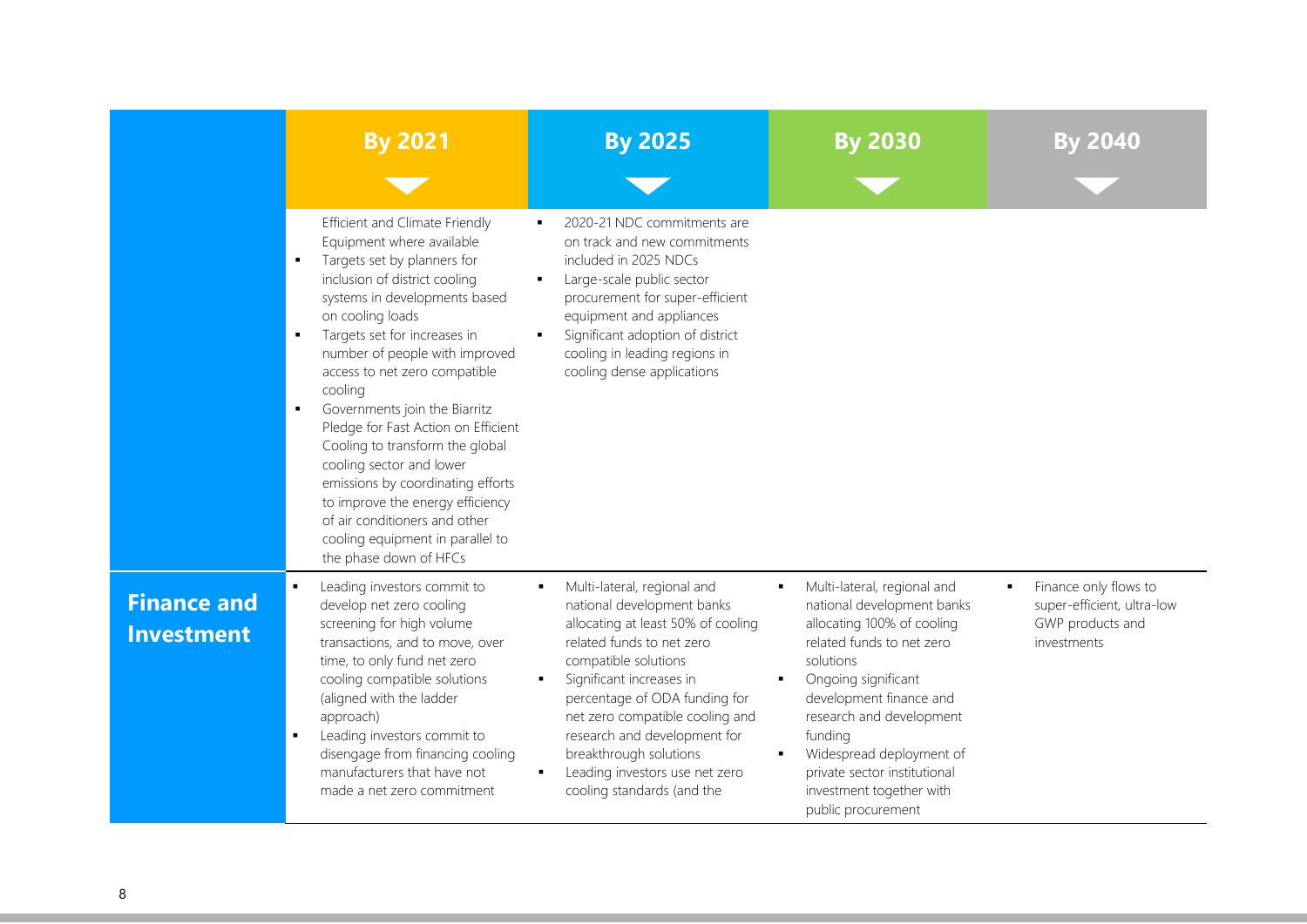|                                         | <b>By 2021</b>                                                                                                                                                                                                                                                                                                                                                                                                                                                                                                                                                                                                               | <b>By 2025</b>                                                                                                                                                                                                                                                                                                                                                                                                                       | <b>By 2030</b>                                                                                                                                                                                                                                                                                                                                             | <b>By 2040</b>                                                                                           |
|-----------------------------------------|------------------------------------------------------------------------------------------------------------------------------------------------------------------------------------------------------------------------------------------------------------------------------------------------------------------------------------------------------------------------------------------------------------------------------------------------------------------------------------------------------------------------------------------------------------------------------------------------------------------------------|--------------------------------------------------------------------------------------------------------------------------------------------------------------------------------------------------------------------------------------------------------------------------------------------------------------------------------------------------------------------------------------------------------------------------------------|------------------------------------------------------------------------------------------------------------------------------------------------------------------------------------------------------------------------------------------------------------------------------------------------------------------------------------------------------------|----------------------------------------------------------------------------------------------------------|
|                                         |                                                                                                                                                                                                                                                                                                                                                                                                                                                                                                                                                                                                                              |                                                                                                                                                                                                                                                                                                                                                                                                                                      |                                                                                                                                                                                                                                                                                                                                                            |                                                                                                          |
|                                         | Efficient and Climate Friendly<br>Equipment where available<br>Targets set by planners for<br>٠<br>inclusion of district cooling<br>systems in developments based<br>on cooling loads<br>Targets set for increases in<br>٠<br>number of people with improved<br>access to net zero compatible<br>cooling<br>Governments join the Biarritz<br>٠<br>Pledge for Fast Action on Efficient<br>Cooling to transform the global<br>cooling sector and lower<br>emissions by coordinating efforts<br>to improve the energy efficiency<br>of air conditioners and other<br>cooling equipment in parallel to<br>the phase down of HFCs | 2020-21 NDC commitments are<br>on track and new commitments<br>included in 2025 NDCs<br>Large-scale public sector<br>٠<br>procurement for super-efficient<br>equipment and appliances<br>Significant adoption of district<br>cooling in leading regions in<br>cooling dense applications                                                                                                                                             |                                                                                                                                                                                                                                                                                                                                                            |                                                                                                          |
| <b>Finance and</b><br><b>Investment</b> | Leading investors commit to<br>develop net zero cooling<br>screening for high volume<br>transactions, and to move, over<br>time, to only fund net zero<br>cooling compatible solutions<br>(aligned with the ladder<br>approach)<br>Leading investors commit to<br>disengage from financing cooling<br>manufacturers that have not<br>made a net zero commitment                                                                                                                                                                                                                                                              | Multi-lateral, regional and<br>$\blacksquare$<br>national development banks<br>allocating at least 50% of cooling<br>related funds to net zero<br>compatible solutions<br>Significant increases in<br>$\blacksquare$<br>percentage of ODA funding for<br>net zero compatible cooling and<br>research and development for<br>breakthrough solutions<br>Leading investors use net zero<br>$\blacksquare$<br>cooling standards (and the | Multi-lateral, regional and<br>national development banks<br>allocating 100% of cooling<br>related funds to net zero<br>solutions<br>Ongoing significant<br>development finance and<br>research and development<br>funding<br>Widespread deployment of<br>$\blacksquare$<br>private sector institutional<br>investment together with<br>public procurement | Finance only flows to<br>$\blacksquare$<br>super-efficient, ultra-low<br>GWP products and<br>investments |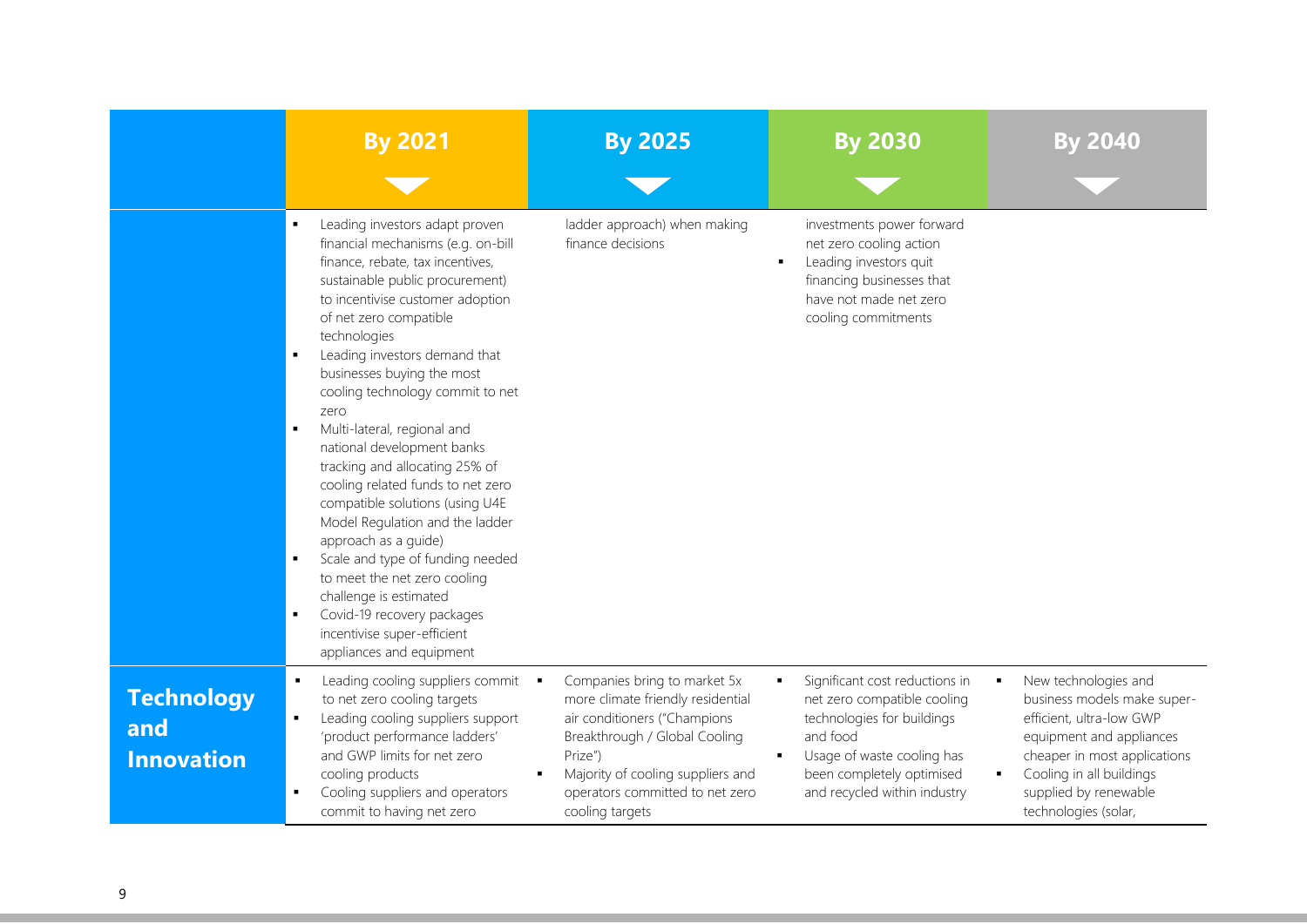|                                               | <b>By 2021</b>                                                                                                                                                                                                                                                                                                                                                                                                                                                                                                                                                                                                                                                                                                                                                | <b>By 2025</b>                                                                                                                                                                                                                                | <b>By 2030</b>                                                                                                                                                                                     | By 2040                                                                                                                                                                                                                                         |
|-----------------------------------------------|---------------------------------------------------------------------------------------------------------------------------------------------------------------------------------------------------------------------------------------------------------------------------------------------------------------------------------------------------------------------------------------------------------------------------------------------------------------------------------------------------------------------------------------------------------------------------------------------------------------------------------------------------------------------------------------------------------------------------------------------------------------|-----------------------------------------------------------------------------------------------------------------------------------------------------------------------------------------------------------------------------------------------|----------------------------------------------------------------------------------------------------------------------------------------------------------------------------------------------------|-------------------------------------------------------------------------------------------------------------------------------------------------------------------------------------------------------------------------------------------------|
|                                               | Leading investors adapt proven<br>financial mechanisms (e.g. on-bill<br>finance, rebate, tax incentives,<br>sustainable public procurement)<br>to incentivise customer adoption<br>of net zero compatible<br>technologies<br>Leading investors demand that<br>businesses buying the most<br>cooling technology commit to net<br>zero<br>Multi-lateral, regional and<br>national development banks<br>tracking and allocating 25% of<br>cooling related funds to net zero<br>compatible solutions (using U4E<br>Model Regulation and the ladder<br>approach as a quide)<br>Scale and type of funding needed<br>to meet the net zero cooling<br>challenge is estimated<br>Covid-19 recovery packages<br>incentivise super-efficient<br>appliances and equipment | ladder approach) when making<br>finance decisions                                                                                                                                                                                             | investments power forward<br>net zero cooling action<br>Leading investors quit<br>$\blacksquare$<br>financing businesses that<br>have not made net zero<br>cooling commitments                     |                                                                                                                                                                                                                                                 |
| <b>Technology</b><br>and<br><b>Innovation</b> | Leading cooling suppliers commit .<br>to net zero cooling targets<br>Leading cooling suppliers support<br>'product performance ladders'<br>and GWP limits for net zero<br>cooling products<br>Cooling suppliers and operators<br>commit to having net zero                                                                                                                                                                                                                                                                                                                                                                                                                                                                                                    | Companies bring to market 5x<br>more climate friendly residential<br>air conditioners ("Champions<br>Breakthrough / Global Cooling<br>Prize")<br>Majority of cooling suppliers and<br>×<br>operators committed to net zero<br>cooling targets | Significant cost reductions in<br>net zero compatible cooling<br>technologies for buildings<br>and food<br>Usage of waste cooling has<br>been completely optimised<br>and recycled within industry | New technologies and<br>٠<br>business models make super-<br>efficient, ultra-low GWP<br>equipment and appliances<br>cheaper in most applications<br>Cooling in all buildings<br>$\blacksquare$<br>supplied by renewable<br>technologies (solar, |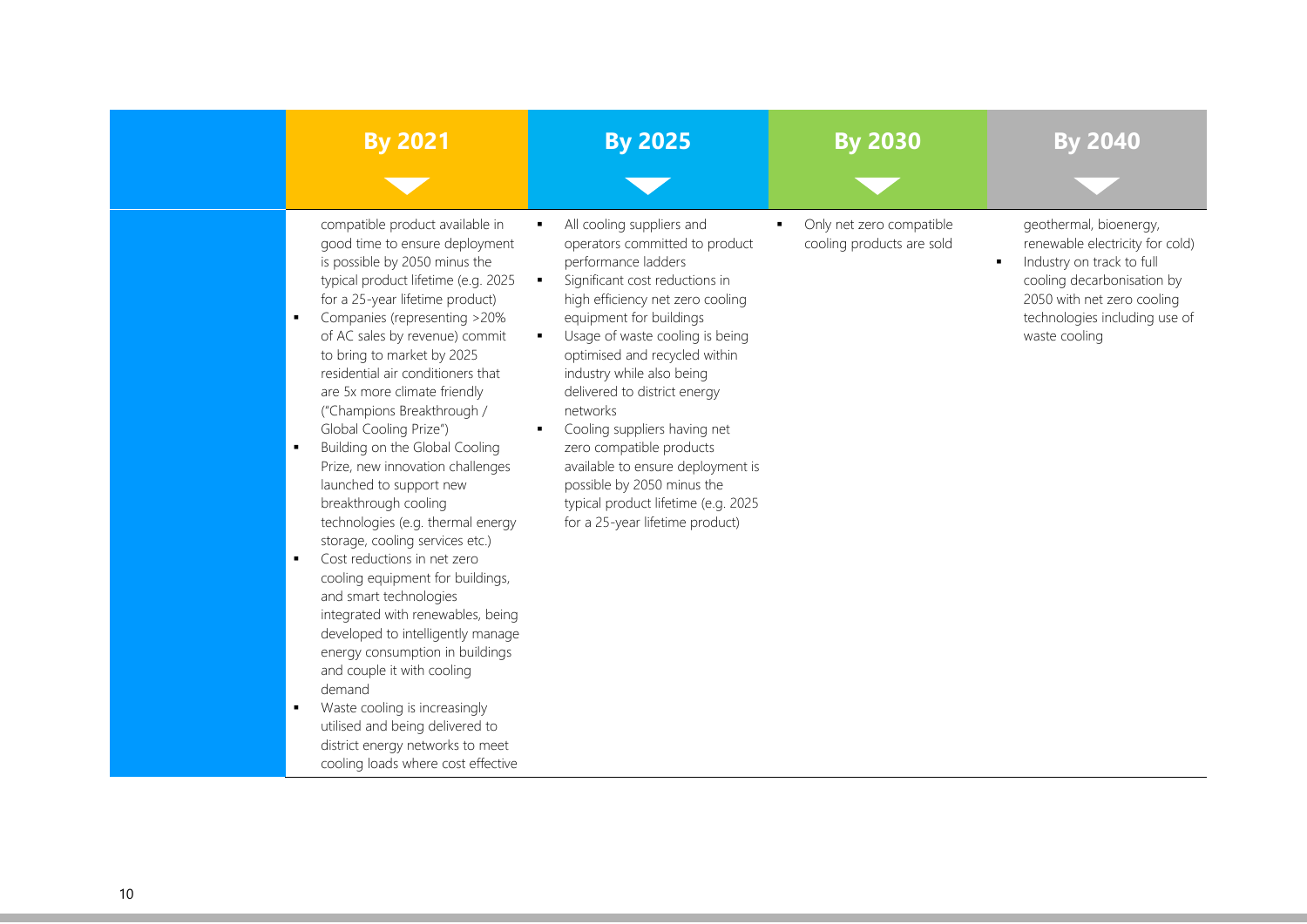| <b>By 2021</b>                                                                                                                                                                                                                                                                                                                                                                                                                                                                                                                                                                                                                                                                                                                                                                                                                                                                                                                                                                                                               | <b>By 2025</b>                                                                                                                                                                                                                                                                                                                                                                                                                                                                                                                            | <b>By 2030</b>                                        | By 2040                                                                                                                                                                                                                |
|------------------------------------------------------------------------------------------------------------------------------------------------------------------------------------------------------------------------------------------------------------------------------------------------------------------------------------------------------------------------------------------------------------------------------------------------------------------------------------------------------------------------------------------------------------------------------------------------------------------------------------------------------------------------------------------------------------------------------------------------------------------------------------------------------------------------------------------------------------------------------------------------------------------------------------------------------------------------------------------------------------------------------|-------------------------------------------------------------------------------------------------------------------------------------------------------------------------------------------------------------------------------------------------------------------------------------------------------------------------------------------------------------------------------------------------------------------------------------------------------------------------------------------------------------------------------------------|-------------------------------------------------------|------------------------------------------------------------------------------------------------------------------------------------------------------------------------------------------------------------------------|
| compatible product available in<br>good time to ensure deployment<br>is possible by 2050 minus the<br>typical product lifetime (e.g. 2025<br>for a 25-year lifetime product)<br>Companies (representing >20%<br>of AC sales by revenue) commit<br>to bring to market by 2025<br>residential air conditioners that<br>are 5x more climate friendly<br>("Champions Breakthrough /<br>Global Cooling Prize")<br>Building on the Global Cooling<br>Prize, new innovation challenges<br>launched to support new<br>breakthrough cooling<br>technologies (e.g. thermal energy<br>storage, cooling services etc.)<br>Cost reductions in net zero<br>cooling equipment for buildings,<br>and smart technologies<br>integrated with renewables, being<br>developed to intelligently manage<br>energy consumption in buildings<br>and couple it with cooling<br>demand<br>Waste cooling is increasingly<br>$\blacksquare$<br>utilised and being delivered to<br>district energy networks to meet<br>cooling loads where cost effective | All cooling suppliers and<br>operators committed to product<br>performance ladders<br>Significant cost reductions in<br>high efficiency net zero cooling<br>equipment for buildings<br>Usage of waste cooling is being<br>optimised and recycled within<br>industry while also being<br>delivered to district energy<br>networks<br>Cooling suppliers having net<br>zero compatible products<br>available to ensure deployment is<br>possible by 2050 minus the<br>typical product lifetime (e.g. 2025<br>for a 25-year lifetime product) | Only net zero compatible<br>cooling products are sold | geothermal, bioenergy,<br>renewable electricity for cold)<br>Industry on track to full<br>$\blacksquare$<br>cooling decarbonisation by<br>2050 with net zero cooling<br>technologies including use of<br>waste cooling |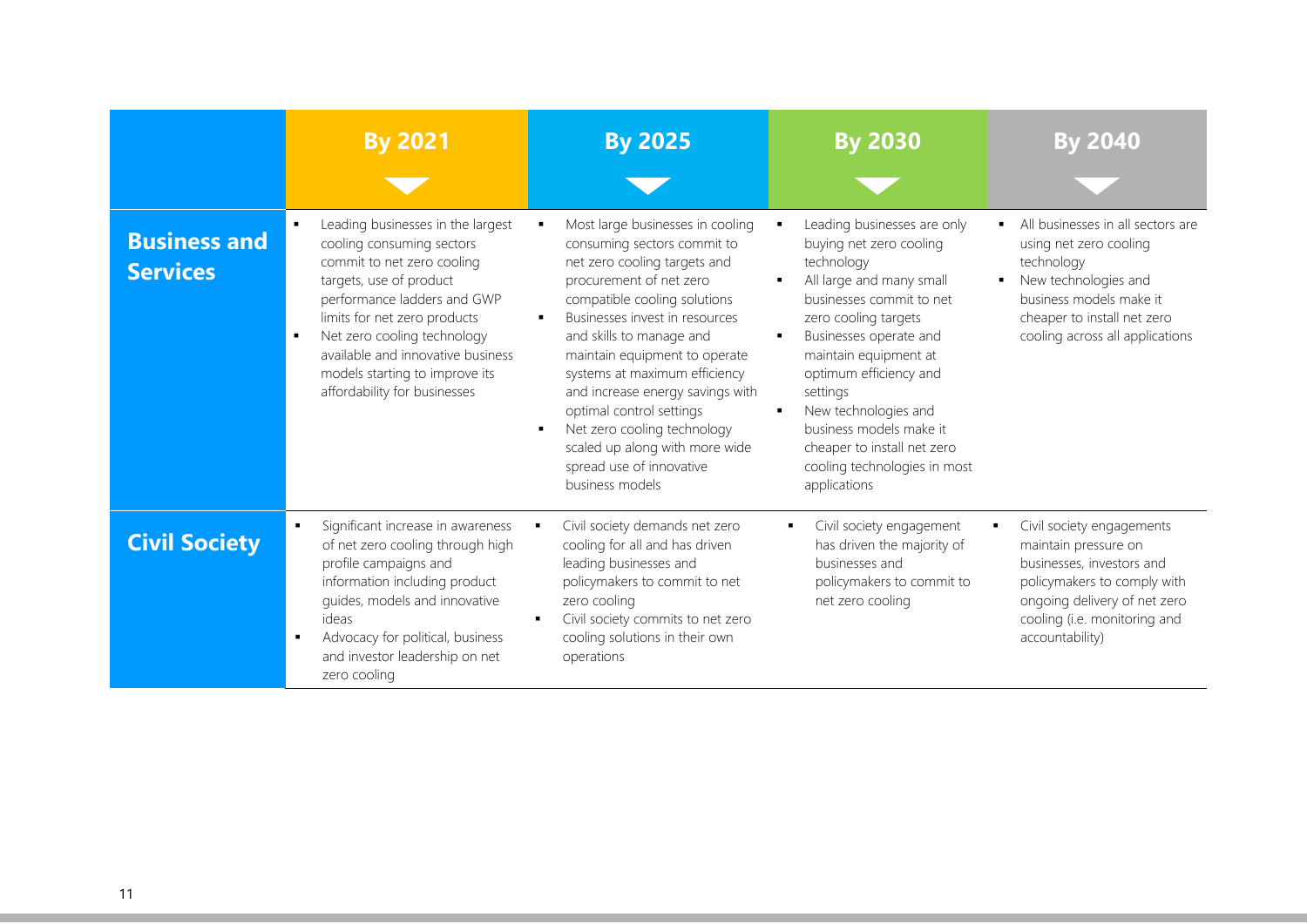|                                        | <b>By 2021</b>                                                                                                                                                                                                                                                                                                               | <b>By 2025</b>                                                                                                                                                                                                                                                                                                                                                                                                                                                             | <b>By 2030</b>                                                                                                                                                                                                                                                                                                                                                                       | <b>By 2040</b>                                                                                                                                                                                   |
|----------------------------------------|------------------------------------------------------------------------------------------------------------------------------------------------------------------------------------------------------------------------------------------------------------------------------------------------------------------------------|----------------------------------------------------------------------------------------------------------------------------------------------------------------------------------------------------------------------------------------------------------------------------------------------------------------------------------------------------------------------------------------------------------------------------------------------------------------------------|--------------------------------------------------------------------------------------------------------------------------------------------------------------------------------------------------------------------------------------------------------------------------------------------------------------------------------------------------------------------------------------|--------------------------------------------------------------------------------------------------------------------------------------------------------------------------------------------------|
| <b>Business and</b><br><b>Services</b> | Leading businesses in the largest<br>cooling consuming sectors<br>commit to net zero cooling<br>targets, use of product<br>performance ladders and GWP<br>limits for net zero products<br>Net zero cooling technology<br>available and innovative business<br>models starting to improve its<br>affordability for businesses | Most large businesses in cooling<br>consuming sectors commit to<br>net zero cooling targets and<br>procurement of net zero<br>compatible cooling solutions<br>Businesses invest in resources<br>and skills to manage and<br>maintain equipment to operate<br>systems at maximum efficiency<br>and increase energy savings with<br>optimal control settings<br>Net zero cooling technology<br>scaled up along with more wide<br>spread use of innovative<br>business models | Leading businesses are only<br>buying net zero cooling<br>technology<br>All large and many small<br>businesses commit to net<br>zero cooling targets<br>Businesses operate and<br>maintain equipment at<br>optimum efficiency and<br>settings<br>New technologies and<br>٠<br>business models make it<br>cheaper to install net zero<br>cooling technologies in most<br>applications | All businesses in all sectors are<br>using net zero cooling<br>technology<br>New technologies and<br>business models make it<br>cheaper to install net zero<br>cooling across all applications   |
| <b>Civil Society</b>                   | Significant increase in awareness<br>of net zero cooling through high<br>profile campaigns and<br>information including product<br>quides, models and innovative<br>ideas<br>Advocacy for political, business<br>and investor leadership on net<br>zero cooling                                                              | Civil society demands net zero<br>cooling for all and has driven<br>leading businesses and<br>policymakers to commit to net<br>zero cooling<br>Civil society commits to net zero<br>cooling solutions in their own<br>operations                                                                                                                                                                                                                                           | Civil society engagement<br>٠.<br>has driven the majority of<br>businesses and<br>policymakers to commit to<br>net zero cooling                                                                                                                                                                                                                                                      | Civil society engagements<br>maintain pressure on<br>businesses, investors and<br>policymakers to comply with<br>ongoing delivery of net zero<br>cooling (i.e. monitoring and<br>accountability) |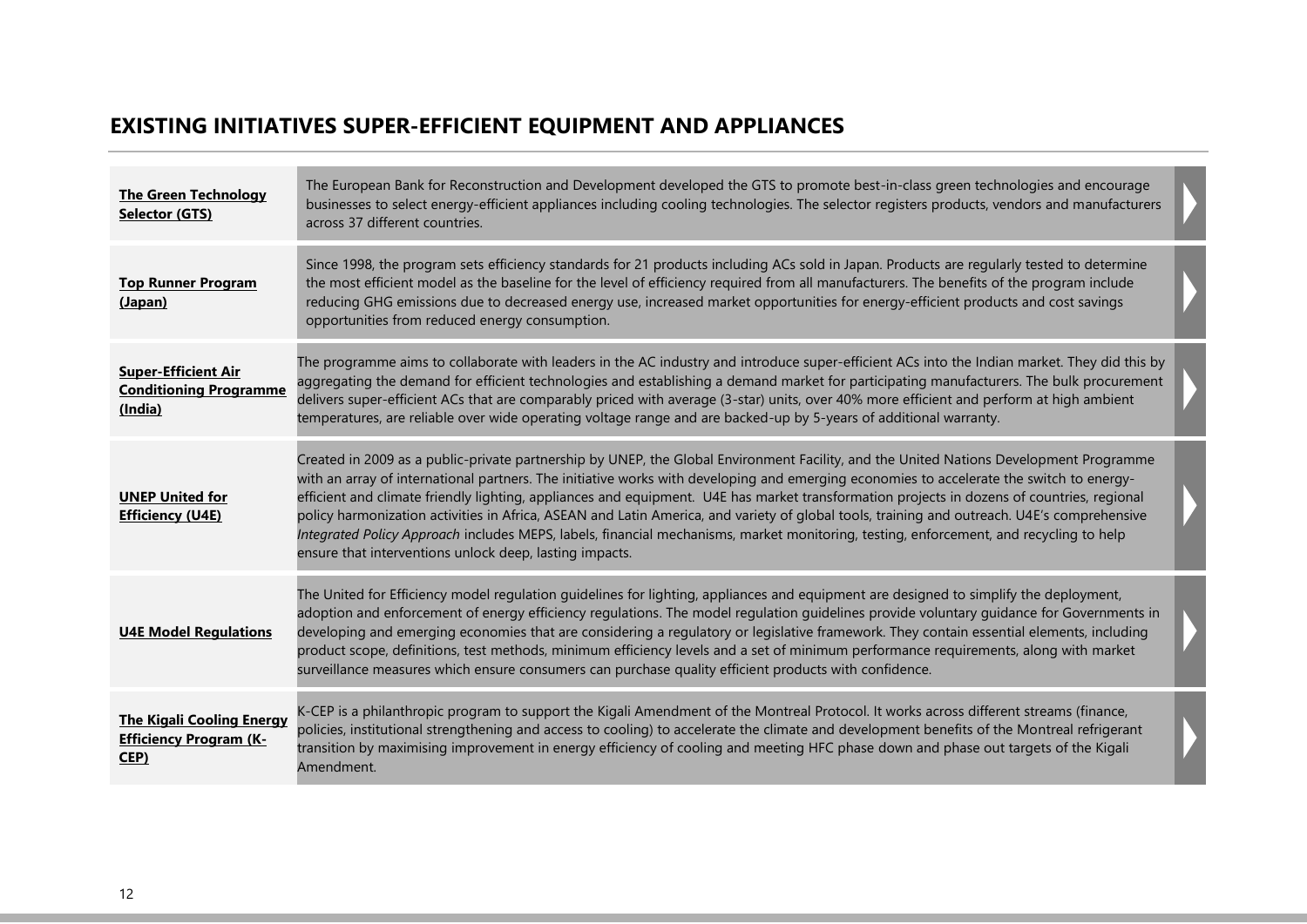### **EXISTING INITIATIVES SUPER-EFFICIENT EQUIPMENT AND APPLIANCES**

| <b>The Green Technology</b><br>Selector (GTS)                             | The European Bank for Reconstruction and Development developed the GTS to promote best-in-class green technologies and encourage<br>businesses to select energy-efficient appliances including cooling technologies. The selector registers products, vendors and manufacturers<br>across 37 different countries.                                                                                                                                                                                                                                                                                                                                                                                                                                                                    |  |
|---------------------------------------------------------------------------|--------------------------------------------------------------------------------------------------------------------------------------------------------------------------------------------------------------------------------------------------------------------------------------------------------------------------------------------------------------------------------------------------------------------------------------------------------------------------------------------------------------------------------------------------------------------------------------------------------------------------------------------------------------------------------------------------------------------------------------------------------------------------------------|--|
| <b>Top Runner Program</b><br>(Japan)                                      | Since 1998, the program sets efficiency standards for 21 products including ACs sold in Japan. Products are regularly tested to determine<br>the most efficient model as the baseline for the level of efficiency required from all manufacturers. The benefits of the program include<br>reducing GHG emissions due to decreased energy use, increased market opportunities for energy-efficient products and cost savings<br>opportunities from reduced energy consumption.                                                                                                                                                                                                                                                                                                        |  |
| <b>Super-Efficient Air</b><br><b>Conditioning Programme</b><br>(India)    | The programme aims to collaborate with leaders in the AC industry and introduce super-efficient ACs into the Indian market. They did this by<br>aggregating the demand for efficient technologies and establishing a demand market for participating manufacturers. The bulk procurement<br>delivers super-efficient ACs that are comparably priced with average (3-star) units, over 40% more efficient and perform at high ambient<br>temperatures, are reliable over wide operating voltage range and are backed-up by 5-years of additional warranty.                                                                                                                                                                                                                            |  |
| <b>UNEP United for</b><br><b>Efficiency (U4E)</b>                         | Created in 2009 as a public-private partnership by UNEP, the Global Environment Facility, and the United Nations Development Programme<br>with an array of international partners. The initiative works with developing and emerging economies to accelerate the switch to energy-<br>efficient and climate friendly lighting, appliances and equipment. U4E has market transformation projects in dozens of countries, regional<br>policy harmonization activities in Africa, ASEAN and Latin America, and variety of global tools, training and outreach. U4E's comprehensive<br>Integrated Policy Approach includes MEPS, labels, financial mechanisms, market monitoring, testing, enforcement, and recycling to help<br>ensure that interventions unlock deep, lasting impacts. |  |
| <b>U4E Model Regulations</b>                                              | The United for Efficiency model regulation guidelines for lighting, appliances and equipment are designed to simplify the deployment,<br>adoption and enforcement of energy efficiency regulations. The model regulation guidelines provide voluntary guidance for Governments in<br>developing and emerging economies that are considering a regulatory or legislative framework. They contain essential elements, including<br>product scope, definitions, test methods, minimum efficiency levels and a set of minimum performance requirements, along with market<br>surveillance measures which ensure consumers can purchase quality efficient products with confidence.                                                                                                       |  |
| <b>The Kigali Cooling Energy</b><br><b>Efficiency Program (K-</b><br>CEP) | K-CEP is a philanthropic program to support the Kigali Amendment of the Montreal Protocol. It works across different streams (finance,<br>policies, institutional strengthening and access to cooling) to accelerate the climate and development benefits of the Montreal refrigerant<br>transition by maximising improvement in energy efficiency of cooling and meeting HFC phase down and phase out targets of the Kigali<br>Amendment.                                                                                                                                                                                                                                                                                                                                           |  |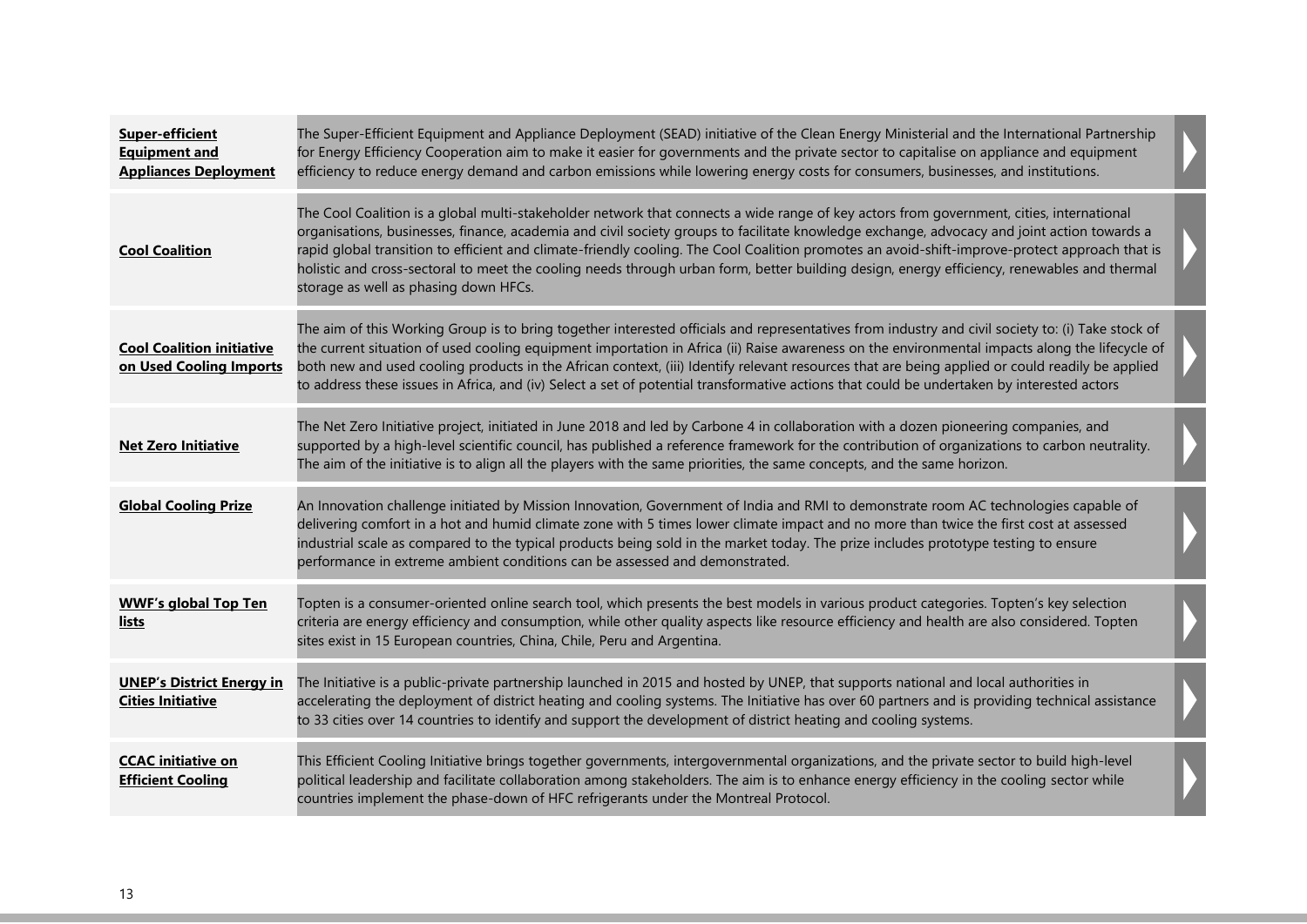| <b>Super-efficient</b><br><b>Equipment and</b><br><b>Appliances Deployment</b> | The Super-Efficient Equipment and Appliance Deployment (SEAD) initiative of the Clean Energy Ministerial and the International Partnership<br>for Energy Efficiency Cooperation aim to make it easier for governments and the private sector to capitalise on appliance and equipment<br>efficiency to reduce energy demand and carbon emissions while lowering energy costs for consumers, businesses, and institutions.                                                                                                                                                                                                         |  |
|--------------------------------------------------------------------------------|-----------------------------------------------------------------------------------------------------------------------------------------------------------------------------------------------------------------------------------------------------------------------------------------------------------------------------------------------------------------------------------------------------------------------------------------------------------------------------------------------------------------------------------------------------------------------------------------------------------------------------------|--|
| <b>Cool Coalition</b>                                                          | The Cool Coalition is a global multi-stakeholder network that connects a wide range of key actors from government, cities, international<br>organisations, businesses, finance, academia and civil society groups to facilitate knowledge exchange, advocacy and joint action towards a<br>rapid global transition to efficient and climate-friendly cooling. The Cool Coalition promotes an avoid-shift-improve-protect approach that is<br>holistic and cross-sectoral to meet the cooling needs through urban form, better building design, energy efficiency, renewables and thermal<br>storage as well as phasing down HFCs. |  |
| <b>Cool Coalition initiative</b><br>on Used Cooling Imports                    | The aim of this Working Group is to bring together interested officials and representatives from industry and civil society to: (i) Take stock of<br>the current situation of used cooling equipment importation in Africa (ii) Raise awareness on the environmental impacts along the lifecycle of<br>both new and used cooling products in the African context, (iii) Identify relevant resources that are being applied or could readily be applied<br>to address these issues in Africa, and (iv) Select a set of potential transformative actions that could be undertaken by interested actors                              |  |
| <b>Net Zero Initiative</b>                                                     | The Net Zero Initiative project, initiated in June 2018 and led by Carbone 4 in collaboration with a dozen pioneering companies, and<br>supported by a high-level scientific council, has published a reference framework for the contribution of organizations to carbon neutrality.<br>The aim of the initiative is to align all the players with the same priorities, the same concepts, and the same horizon.                                                                                                                                                                                                                 |  |
| <b>Global Cooling Prize</b>                                                    | An Innovation challenge initiated by Mission Innovation, Government of India and RMI to demonstrate room AC technologies capable of<br>delivering comfort in a hot and humid climate zone with 5 times lower climate impact and no more than twice the first cost at assessed<br>industrial scale as compared to the typical products being sold in the market today. The prize includes prototype testing to ensure<br>performance in extreme ambient conditions can be assessed and demonstrated.                                                                                                                               |  |
| <b>WWF's global Top Ten</b><br>lists                                           | Topten is a consumer-oriented online search tool, which presents the best models in various product categories. Topten's key selection<br>criteria are energy efficiency and consumption, while other quality aspects like resource efficiency and health are also considered. Topten<br>sites exist in 15 European countries, China, Chile, Peru and Argentina.                                                                                                                                                                                                                                                                  |  |
| <b>UNEP's District Energy in</b><br><b>Cities Initiative</b>                   | The Initiative is a public-private partnership launched in 2015 and hosted by UNEP, that supports national and local authorities in<br>accelerating the deployment of district heating and cooling systems. The Initiative has over 60 partners and is providing technical assistance<br>to 33 cities over 14 countries to identify and support the development of district heating and cooling systems.                                                                                                                                                                                                                          |  |
| <b>CCAC</b> initiative on<br><b>Efficient Cooling</b>                          | This Efficient Cooling Initiative brings together governments, intergovernmental organizations, and the private sector to build high-level<br>political leadership and facilitate collaboration among stakeholders. The aim is to enhance energy efficiency in the cooling sector while<br>countries implement the phase-down of HFC refrigerants under the Montreal Protocol.                                                                                                                                                                                                                                                    |  |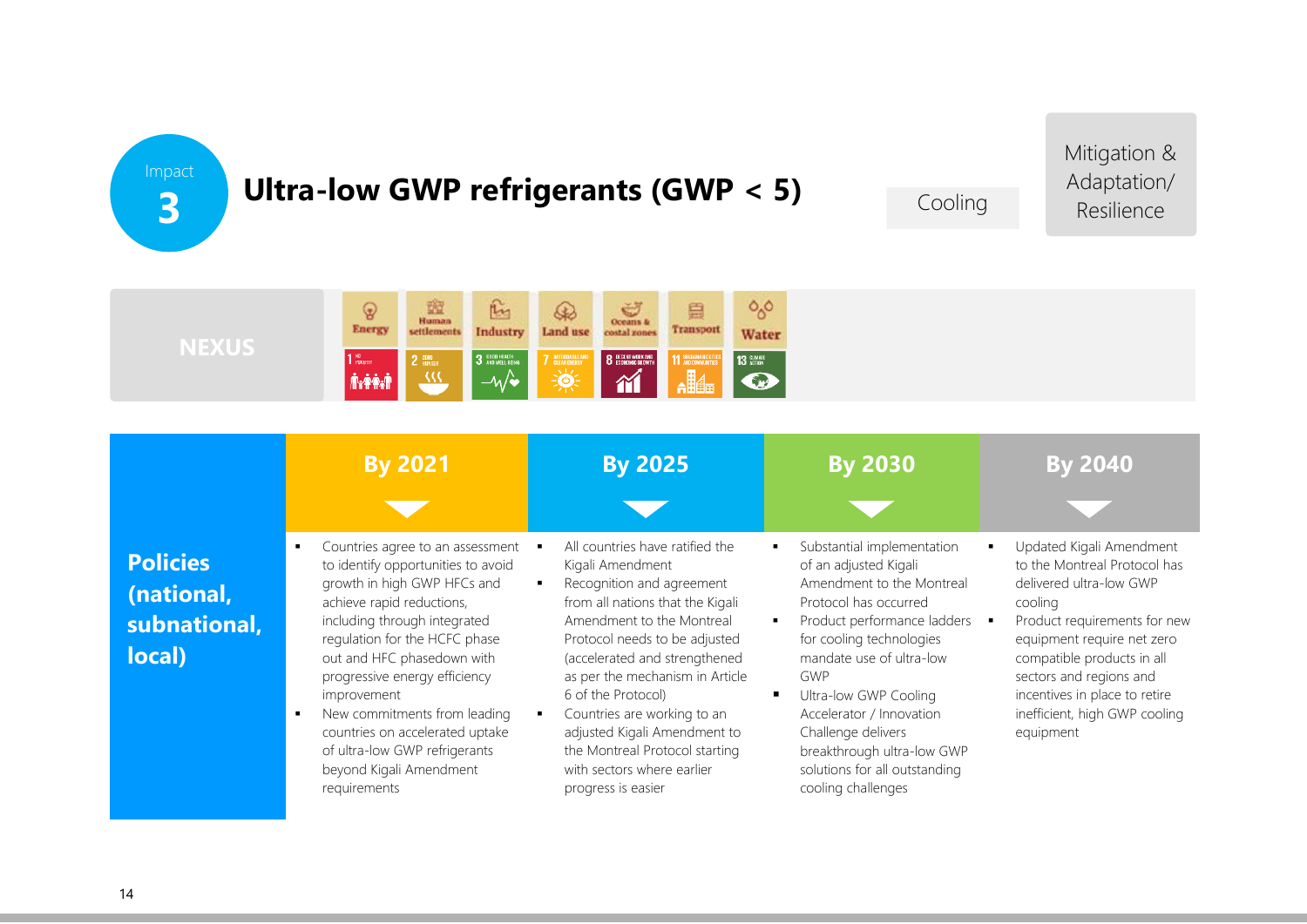Impact **3**

# **Ultra-low GWP refrigerants (GWP < 5)**

Cooling

Mitigation & Adaptation/ Resilience



|                                                         | <b>By 2021</b>                                                                                                                                                                                                                                                                                                                                                                                                                                            | <b>By 2025</b>                                                                                                                                                                                                                                                                                                                                                                                                                    | <b>By 2030</b>                                                                                                                                                                                                                                                                                                                                                          | <b>By 2040</b>                                                                                                                                                                                                                                                                                       |
|---------------------------------------------------------|-----------------------------------------------------------------------------------------------------------------------------------------------------------------------------------------------------------------------------------------------------------------------------------------------------------------------------------------------------------------------------------------------------------------------------------------------------------|-----------------------------------------------------------------------------------------------------------------------------------------------------------------------------------------------------------------------------------------------------------------------------------------------------------------------------------------------------------------------------------------------------------------------------------|-------------------------------------------------------------------------------------------------------------------------------------------------------------------------------------------------------------------------------------------------------------------------------------------------------------------------------------------------------------------------|------------------------------------------------------------------------------------------------------------------------------------------------------------------------------------------------------------------------------------------------------------------------------------------------------|
| <b>Policies</b><br>(national,<br>subnational,<br>local) | Countries agree to an assessment<br>to identify opportunities to avoid<br>growth in high GWP HFCs and<br>achieve rapid reductions,<br>including through integrated<br>regulation for the HCFC phase<br>out and HFC phasedown with<br>progressive energy efficiency<br><i>improvement</i><br>New commitments from leading<br>$\blacksquare$<br>countries on accelerated uptake<br>of ultra-low GWP refrigerants<br>beyond Kigali Amendment<br>requirements | All countries have ratified the<br>Kigali Amendment<br>Recognition and agreement<br>from all nations that the Kigali<br>Amendment to the Montreal<br>Protocol needs to be adjusted<br>(accelerated and strengthened<br>as per the mechanism in Article<br>6 of the Protocol)<br>Countries are working to an<br>adjusted Kigali Amendment to<br>the Montreal Protocol starting<br>with sectors where earlier<br>progress is easier | Substantial implementation<br>of an adjusted Kigali<br>Amendment to the Montreal<br>Protocol has occurred<br>Product performance ladders<br>for cooling technologies<br>mandate use of ultra-low<br>GWP<br>Ultra-low GWP Cooling<br>Accelerator / Innovation<br>Challenge delivers<br>breakthrough ultra-low GWP<br>solutions for all outstanding<br>cooling challenges | Updated Kigali Amendment<br>to the Montreal Protocol has<br>delivered ultra-low GWP<br>cooling<br>Product requirements for new<br>equipment require net zero<br>compatible products in all<br>sectors and regions and<br>incentives in place to retire<br>inefficient, high GWP cooling<br>equipment |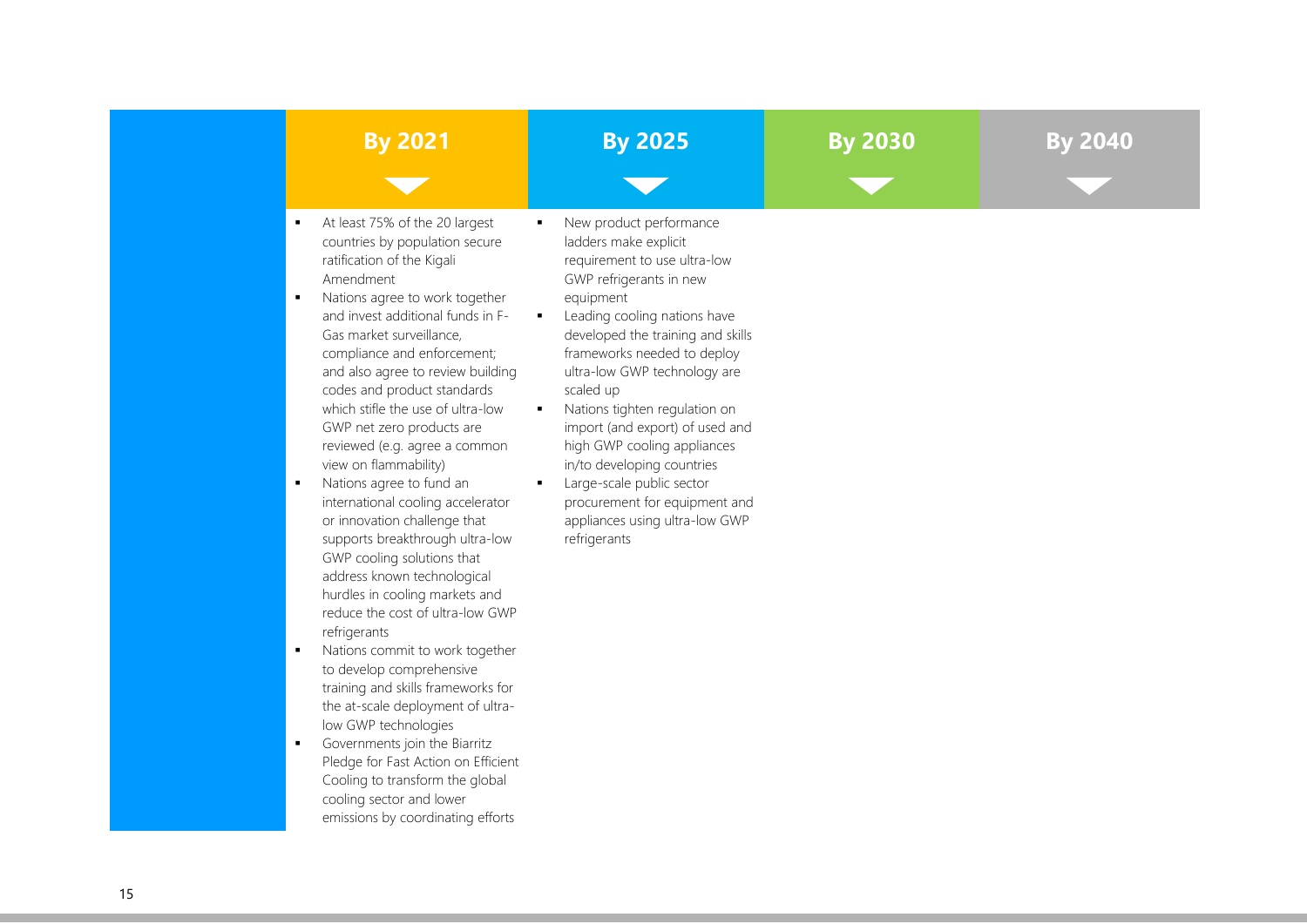| <b>By 2021</b>                                                                                                                                                                                                                                                                                                                                                                                                                                                                                                                                                                                                                                                                                                                                                                                                                                                                                                                                                                                                                                                                                                                                     | <b>By 2025</b>                                                                                                                                                                                                                                                                                                                                                                                                                                                                                                                                                       | <b>By 2030</b> |  |
|----------------------------------------------------------------------------------------------------------------------------------------------------------------------------------------------------------------------------------------------------------------------------------------------------------------------------------------------------------------------------------------------------------------------------------------------------------------------------------------------------------------------------------------------------------------------------------------------------------------------------------------------------------------------------------------------------------------------------------------------------------------------------------------------------------------------------------------------------------------------------------------------------------------------------------------------------------------------------------------------------------------------------------------------------------------------------------------------------------------------------------------------------|----------------------------------------------------------------------------------------------------------------------------------------------------------------------------------------------------------------------------------------------------------------------------------------------------------------------------------------------------------------------------------------------------------------------------------------------------------------------------------------------------------------------------------------------------------------------|----------------|--|
|                                                                                                                                                                                                                                                                                                                                                                                                                                                                                                                                                                                                                                                                                                                                                                                                                                                                                                                                                                                                                                                                                                                                                    |                                                                                                                                                                                                                                                                                                                                                                                                                                                                                                                                                                      |                |  |
| At least 75% of the 20 largest<br>٠<br>countries by population secure<br>ratification of the Kigali<br>Amendment<br>Nations agree to work together<br>$\blacksquare$<br>and invest additional funds in F-<br>Gas market surveillance,<br>compliance and enforcement;<br>and also agree to review building<br>codes and product standards<br>which stifle the use of ultra-low<br>GWP net zero products are<br>reviewed (e.g. agree a common<br>view on flammability)<br>$\blacksquare$<br>Nations agree to fund an<br>international cooling accelerator<br>or innovation challenge that<br>supports breakthrough ultra-low<br>GWP cooling solutions that<br>address known technological<br>hurdles in cooling markets and<br>reduce the cost of ultra-low GWP<br>refrigerants<br>Nations commit to work together<br>×<br>to develop comprehensive<br>training and skills frameworks for<br>the at-scale deployment of ultra-<br>low GWP technologies<br>Governments join the Biarritz<br>$\blacksquare$<br>Pledge for Fast Action on Efficient<br>Cooling to transform the global<br>cooling sector and lower<br>emissions by coordinating efforts | New product performance<br>ladders make explicit<br>requirement to use ultra-low<br>GWP refrigerants in new<br>equipment<br>Leading cooling nations have<br>$\blacksquare$<br>developed the training and skills<br>frameworks needed to deploy<br>ultra-low GWP technology are<br>scaled up<br>Nations tighten regulation on<br>п.<br>import (and export) of used and<br>high GWP cooling appliances<br>in/to developing countries<br>Large-scale public sector<br>$\blacksquare$<br>procurement for equipment and<br>appliances using ultra-low GWP<br>refrigerants |                |  |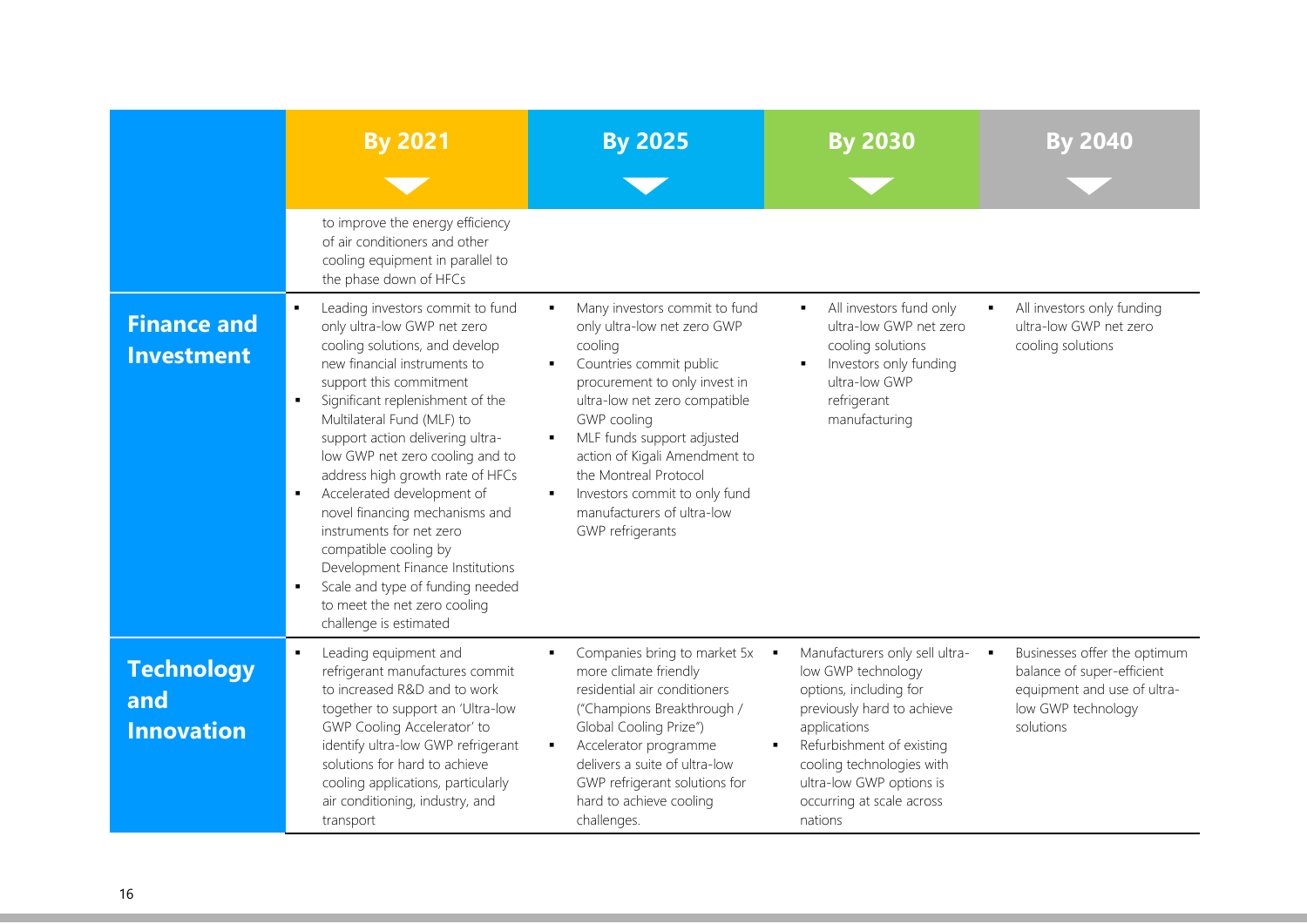|                                               | <b>By 2021</b>                                                                                                                                                                                                                                                                                                                                                                                                                                                                                                                                                                                                     | <b>By 2025</b>                                                                                                                                                                                                                                                                                                                                                                             | <b>By 2030</b>                                                                                                                                                                                                                                                       | <b>By 2040</b>                                                                                                               |
|-----------------------------------------------|--------------------------------------------------------------------------------------------------------------------------------------------------------------------------------------------------------------------------------------------------------------------------------------------------------------------------------------------------------------------------------------------------------------------------------------------------------------------------------------------------------------------------------------------------------------------------------------------------------------------|--------------------------------------------------------------------------------------------------------------------------------------------------------------------------------------------------------------------------------------------------------------------------------------------------------------------------------------------------------------------------------------------|----------------------------------------------------------------------------------------------------------------------------------------------------------------------------------------------------------------------------------------------------------------------|------------------------------------------------------------------------------------------------------------------------------|
|                                               | to improve the energy efficiency<br>of air conditioners and other<br>cooling equipment in parallel to<br>the phase down of HFCs                                                                                                                                                                                                                                                                                                                                                                                                                                                                                    |                                                                                                                                                                                                                                                                                                                                                                                            |                                                                                                                                                                                                                                                                      |                                                                                                                              |
| <b>Finance and</b><br><b>Investment</b>       | Leading investors commit to fund<br>only ultra-low GWP net zero<br>cooling solutions, and develop<br>new financial instruments to<br>support this commitment<br>Significant replenishment of the<br>Multilateral Fund (MLF) to<br>support action delivering ultra-<br>low GWP net zero cooling and to<br>address high growth rate of HFCs<br>Accelerated development of<br>$\blacksquare$<br>novel financing mechanisms and<br>instruments for net zero<br>compatible cooling by<br>Development Finance Institutions<br>Scale and type of funding needed<br>to meet the net zero cooling<br>challenge is estimated | Many investors commit to fund<br>٠<br>only ultra-low net zero GWP<br>cooling<br>Countries commit public<br>procurement to only invest in<br>ultra-low net zero compatible<br>GWP cooling<br>MLF funds support adjusted<br>٠<br>action of Kigali Amendment to<br>the Montreal Protocol<br>Investors commit to only fund<br>$\blacksquare$<br>manufacturers of ultra-low<br>GWP refrigerants | All investors fund only<br>л<br>ultra-low GWP net zero<br>cooling solutions<br>Investors only funding<br>ultra-low GWP<br>refrigerant<br>manufacturing                                                                                                               | All investors only funding<br>$\blacksquare$<br>ultra-low GWP net zero<br>cooling solutions                                  |
| <b>Technology</b><br>and<br><b>Innovation</b> | Leading equipment and<br>٠<br>refrigerant manufactures commit<br>to increased R&D and to work<br>together to support an 'Ultra-low<br>GWP Cooling Accelerator' to<br>identify ultra-low GWP refrigerant<br>solutions for hard to achieve<br>cooling applications, particularly<br>air conditioning, industry, and<br>transport                                                                                                                                                                                                                                                                                     | Companies bring to market 5x<br>more climate friendly<br>residential air conditioners<br>("Champions Breakthrough /<br>Global Cooling Prize")<br>Accelerator programme<br>$\blacksquare$<br>delivers a suite of ultra-low<br>GWP refrigerant solutions for<br>hard to achieve cooling<br>challenges.                                                                                       | Manufacturers only sell ultra-<br>$\sim$<br>low GWP technology<br>options, including for<br>previously hard to achieve<br>applications<br>Refurbishment of existing<br>cooling technologies with<br>ultra-low GWP options is<br>occurring at scale across<br>nations | Businesses offer the optimum<br>balance of super-efficient<br>equipment and use of ultra-<br>low GWP technology<br>solutions |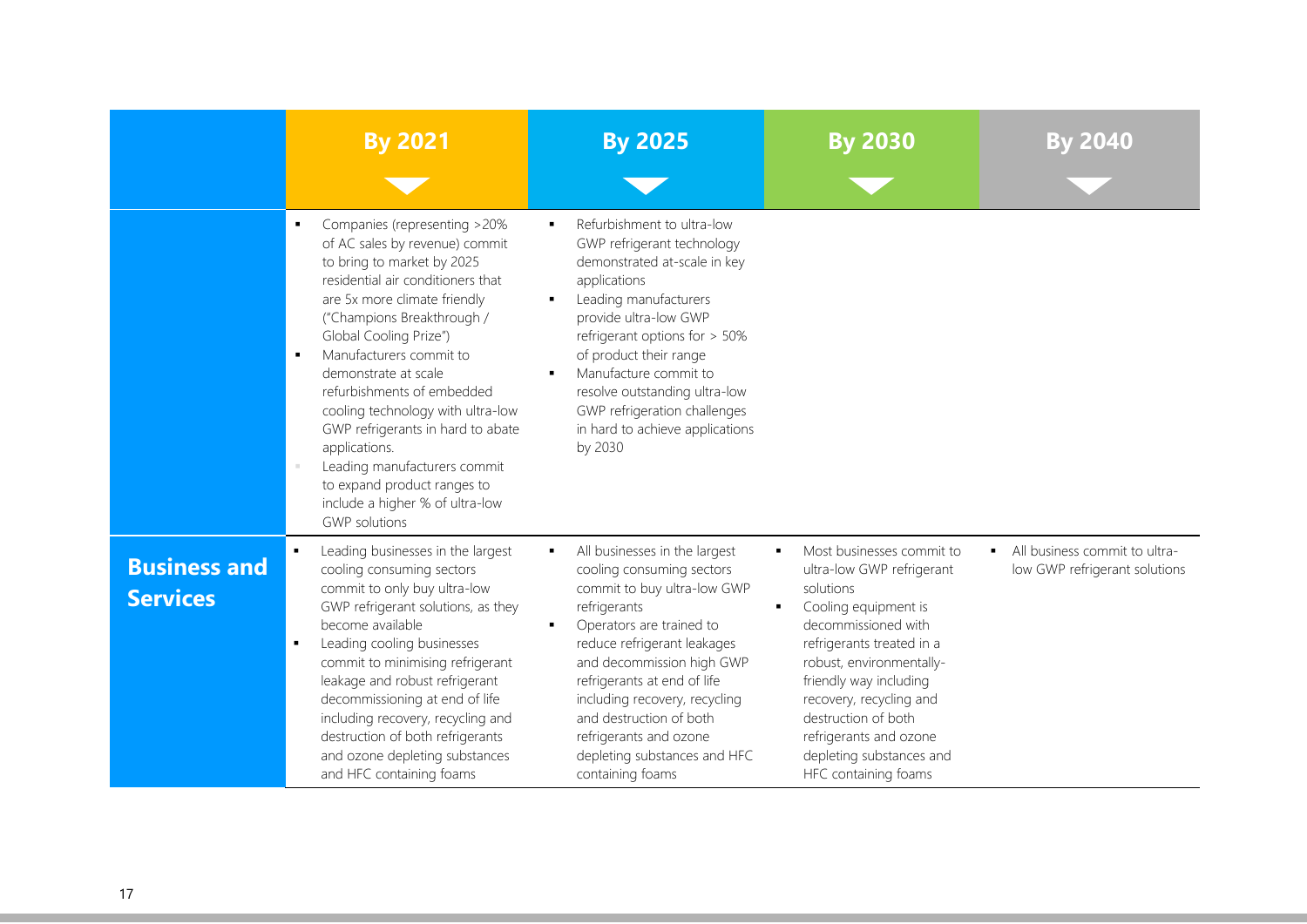|                                        | <b>By 2021</b>                                                                                                                                                                                                                                                                                                                                                                                                                                                                                                                        | <b>By 2025</b>                                                                                                                                                                                                                                                                                                                                                                  | <b>By 2030</b>                                                                                                                                                                                                                                                                                                                             | By 2040                                                              |
|----------------------------------------|---------------------------------------------------------------------------------------------------------------------------------------------------------------------------------------------------------------------------------------------------------------------------------------------------------------------------------------------------------------------------------------------------------------------------------------------------------------------------------------------------------------------------------------|---------------------------------------------------------------------------------------------------------------------------------------------------------------------------------------------------------------------------------------------------------------------------------------------------------------------------------------------------------------------------------|--------------------------------------------------------------------------------------------------------------------------------------------------------------------------------------------------------------------------------------------------------------------------------------------------------------------------------------------|----------------------------------------------------------------------|
|                                        |                                                                                                                                                                                                                                                                                                                                                                                                                                                                                                                                       |                                                                                                                                                                                                                                                                                                                                                                                 |                                                                                                                                                                                                                                                                                                                                            |                                                                      |
|                                        | Companies (representing >20%<br>л.<br>of AC sales by revenue) commit<br>to bring to market by 2025<br>residential air conditioners that<br>are 5x more climate friendly<br>("Champions Breakthrough /<br>Global Cooling Prize")<br>Manufacturers commit to<br>demonstrate at scale<br>refurbishments of embedded<br>cooling technology with ultra-low<br>GWP refrigerants in hard to abate<br>applications.<br>Leading manufacturers commit<br>to expand product ranges to<br>include a higher % of ultra-low<br><b>GWP</b> solutions | Refurbishment to ultra-low<br>٠<br>GWP refrigerant technology<br>demonstrated at-scale in key<br>applications<br>Leading manufacturers<br>٠<br>provide ultra-low GWP<br>refrigerant options for > 50%<br>of product their range<br>Manufacture commit to<br>resolve outstanding ultra-low<br>GWP refrigeration challenges<br>in hard to achieve applications<br>by 2030         |                                                                                                                                                                                                                                                                                                                                            |                                                                      |
| <b>Business and</b><br><b>Services</b> | Leading businesses in the largest<br>cooling consuming sectors<br>commit to only buy ultra-low<br>GWP refrigerant solutions, as they<br>become available<br>Leading cooling businesses<br>commit to minimising refrigerant<br>leakage and robust refrigerant<br>decommissioning at end of life<br>including recovery, recycling and<br>destruction of both refrigerants<br>and ozone depleting substances<br>and HFC containing foams                                                                                                 | All businesses in the largest<br>٠<br>cooling consuming sectors<br>commit to buy ultra-low GWP<br>refrigerants<br>Operators are trained to<br>reduce refrigerant leakages<br>and decommission high GWP<br>refrigerants at end of life<br>including recovery, recycling<br>and destruction of both<br>refrigerants and ozone<br>depleting substances and HFC<br>containing foams | Most businesses commit to<br>٠<br>ultra-low GWP refrigerant<br>solutions<br>Cooling equipment is<br>decommissioned with<br>refrigerants treated in a<br>robust, environmentally-<br>friendly way including<br>recovery, recycling and<br>destruction of both<br>refrigerants and ozone<br>depleting substances and<br>HFC containing foams | All business commit to ultra-<br>٠,<br>low GWP refrigerant solutions |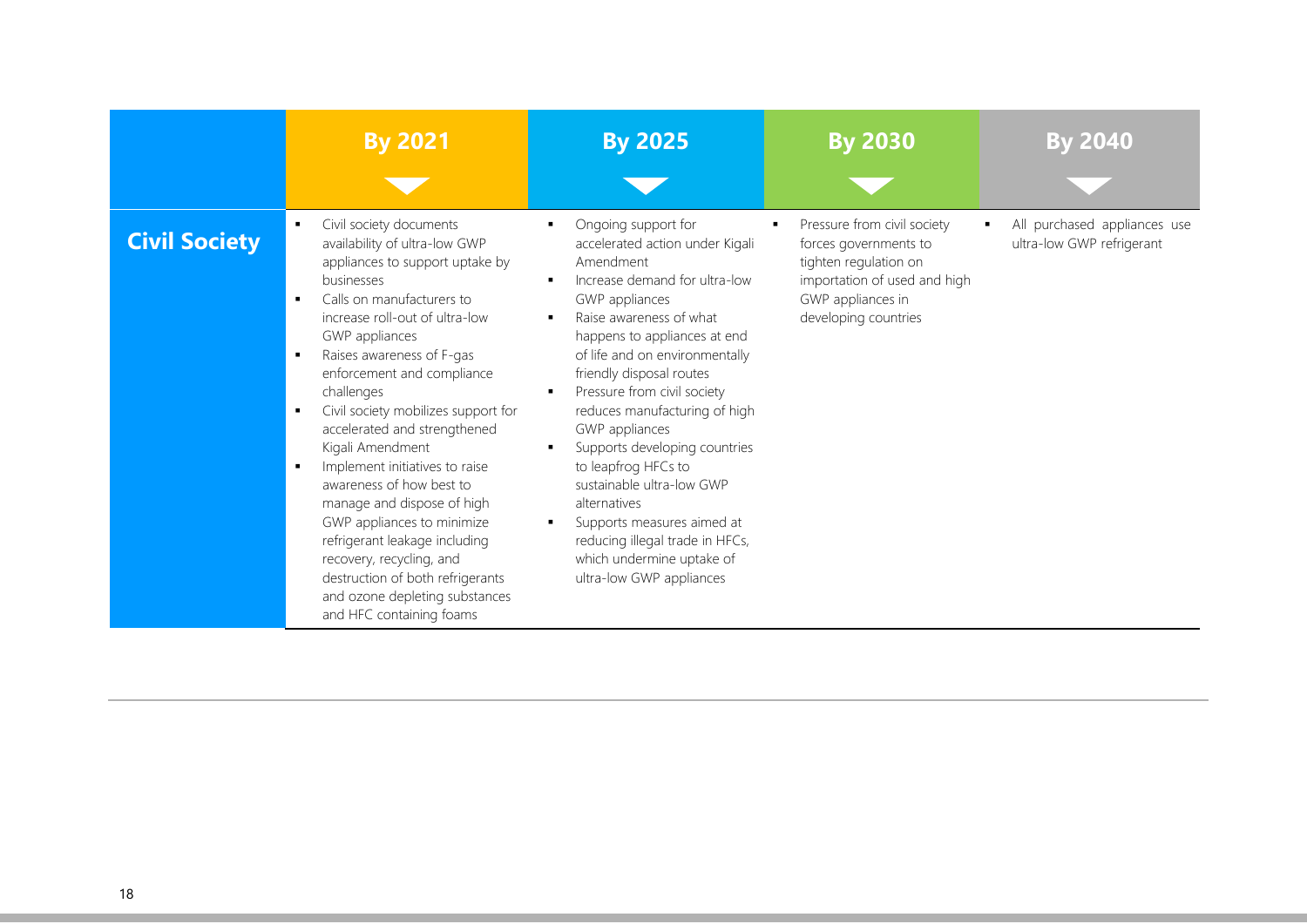|                      | <b>By 2021</b>                                                                                                                                                                                                                                                                                                                                                                                                                                                                                                                                                                                                                                               | <b>By 2025</b>                                                                                                                                                                                                                                                                                                                                                                                                                                                                                                                                                                                                         | <b>By 2030</b>                                                                                                                                             | <b>By 2040</b>                                            |
|----------------------|--------------------------------------------------------------------------------------------------------------------------------------------------------------------------------------------------------------------------------------------------------------------------------------------------------------------------------------------------------------------------------------------------------------------------------------------------------------------------------------------------------------------------------------------------------------------------------------------------------------------------------------------------------------|------------------------------------------------------------------------------------------------------------------------------------------------------------------------------------------------------------------------------------------------------------------------------------------------------------------------------------------------------------------------------------------------------------------------------------------------------------------------------------------------------------------------------------------------------------------------------------------------------------------------|------------------------------------------------------------------------------------------------------------------------------------------------------------|-----------------------------------------------------------|
| <b>Civil Society</b> | Civil society documents<br>availability of ultra-low GWP<br>appliances to support uptake by<br>businesses<br>Calls on manufacturers to<br>increase roll-out of ultra-low<br>GWP appliances<br>Raises awareness of F-gas<br>٠<br>enforcement and compliance<br>challenges<br>Civil society mobilizes support for<br>accelerated and strengthened<br>Kigali Amendment<br>Implement initiatives to raise<br>awareness of how best to<br>manage and dispose of high<br>GWP appliances to minimize<br>refrigerant leakage including<br>recovery, recycling, and<br>destruction of both refrigerants<br>and ozone depleting substances<br>and HFC containing foams | Ongoing support for<br>٠.<br>accelerated action under Kigali<br>Amendment<br>Increase demand for ultra-low<br>٠.<br>GWP appliances<br>Raise awareness of what<br>٠.<br>happens to appliances at end<br>of life and on environmentally<br>friendly disposal routes<br>Pressure from civil society<br>$\blacksquare$<br>reduces manufacturing of high<br>GWP appliances<br>Supports developing countries<br>to leapfrog HFCs to<br>sustainable ultra-low GWP<br>alternatives<br>Supports measures aimed at<br>$\blacksquare$<br>reducing illegal trade in HFCs,<br>which undermine uptake of<br>ultra-low GWP appliances | Pressure from civil society<br>forces governments to<br>tighten regulation on<br>importation of used and high<br>GWP appliances in<br>developing countries | All purchased appliances use<br>ultra-low GWP refrigerant |